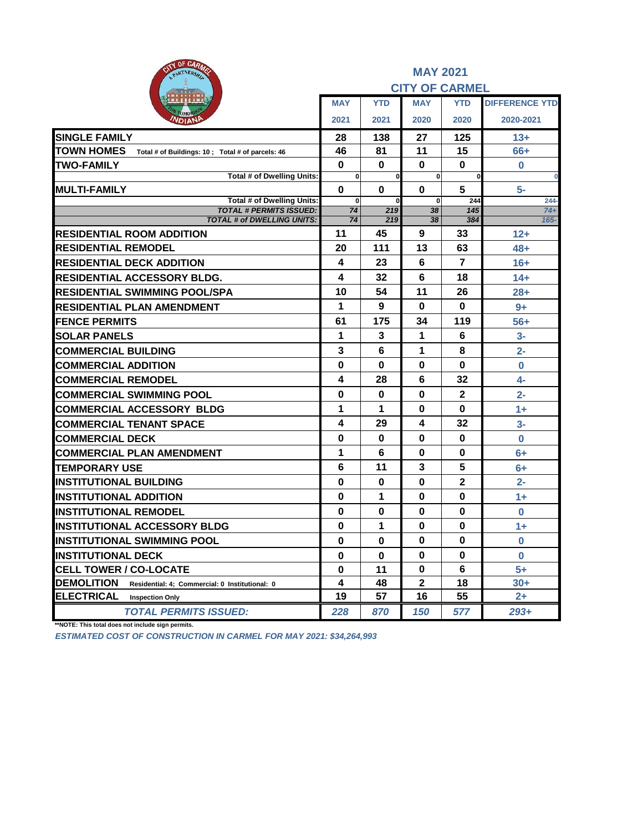| <b>AIN OF CARAGE</b><br>PARTNERSHIP                                    | <b>MAY 2021</b><br><b>CITY OF CARMEL</b> |                 |                |                |                       |  |  |  |
|------------------------------------------------------------------------|------------------------------------------|-----------------|----------------|----------------|-----------------------|--|--|--|
|                                                                        | <b>MAY</b>                               | <b>YTD</b>      | <b>MAY</b>     | <b>YTD</b>     | <b>DIFFERENCE YTD</b> |  |  |  |
| OMOR<br><b>NDIANP</b>                                                  | 2021                                     | 2021            | 2020           | 2020           | 2020-2021             |  |  |  |
| <b>SINGLE FAMILY</b>                                                   | 28                                       | 138             | 27             | 125            | $13+$                 |  |  |  |
| <b>TOWN HOMES</b><br>Total # of Buildings: 10 ; Total # of parcels: 46 | 46                                       | 81              | 11             | 15             | 66+                   |  |  |  |
| <b>TWO-FAMILY</b>                                                      | $\bf{0}$                                 | 0               | 0              | $\bf{0}$       | $\bf{0}$              |  |  |  |
| Total # of Dwelling Units:                                             | $\mathbf 0$                              | $\mathbf 0$     | $\mathbf 0$    | $\mathbf 0$    | $\bf{0}$              |  |  |  |
| <b>MULTI-FAMILY</b><br><b>Total # of Dwelling Units:</b>               | $\bf{0}$                                 | $\bf{0}$        | $\bf{0}$       | 5              | 5-                    |  |  |  |
| <b>TOTAL # PERMITS ISSUED:</b>                                         | $\mathbf 0$<br>74                        | $\bf{0}$<br>219 | $\bf{0}$<br>38 | 244<br>145     | $244 -$<br>$74+$      |  |  |  |
| <b>TOTAL # of DWELLING UNITS:</b>                                      | 74                                       | 219             | 38             | 384            | $165 -$               |  |  |  |
| <b>RESIDENTIAL ROOM ADDITION</b>                                       | 11                                       | 45              | 9              | 33             | $12+$                 |  |  |  |
| <b>RESIDENTIAL REMODEL</b>                                             | 20                                       | 111             | 13             | 63             | $48+$                 |  |  |  |
| <b>RESIDENTIAL DECK ADDITION</b>                                       | 4                                        | 23              | 6              | $\overline{7}$ | $16+$                 |  |  |  |
| <b>RESIDENTIAL ACCESSORY BLDG.</b>                                     | 4                                        | 32              | 6              | 18             | $14+$                 |  |  |  |
| <b>RESIDENTIAL SWIMMING POOL/SPA</b>                                   | 10                                       | 54              | 11             | 26             | $28+$                 |  |  |  |
| RESIDENTIAL PLAN AMENDMENT                                             | 1                                        | 9               | $\bf{0}$       | $\bf{0}$       | $9+$                  |  |  |  |
| <b>FENCE PERMITS</b>                                                   | 61                                       | 175             | 34             | 119            | $56+$                 |  |  |  |
| <b>SOLAR PANELS</b>                                                    | 1                                        | 3               | 1              | 6              | $3-$                  |  |  |  |
| <b>COMMERCIAL BUILDING</b>                                             | 3                                        | 6               | 1              | 8              | $2 -$                 |  |  |  |
| <b>COMMERCIAL ADDITION</b>                                             | 0                                        | 0               | 0              | $\bf{0}$       | $\mathbf 0$           |  |  |  |
| <b>COMMERCIAL REMODEL</b>                                              | 4                                        | 28              | 6              | 32             | $4-$                  |  |  |  |
| <b>COMMERCIAL SWIMMING POOL</b>                                        | 0                                        | $\bf{0}$        | $\bf{0}$       | $\mathbf{2}$   | $2 -$                 |  |  |  |
| <b>COMMERCIAL ACCESSORY BLDG</b>                                       | 1                                        | 1               | 0              | 0              | $1 +$                 |  |  |  |
| <b>COMMERCIAL TENANT SPACE</b>                                         | 4                                        | 29              | 4              | 32             | $3-$                  |  |  |  |
| <b>COMMERCIAL DECK</b>                                                 | 0                                        | 0               | 0              | 0              | $\bf{0}$              |  |  |  |
| <b>COMMERCIAL PLAN AMENDMENT</b>                                       | 1                                        | 6               | $\bf{0}$       | $\bf{0}$       | $6+$                  |  |  |  |
| <b>TEMPORARY USE</b>                                                   | 6                                        | 11              | 3              | 5              | $6+$                  |  |  |  |
| <b>INSTITUTIONAL BUILDING</b>                                          | 0                                        | 0               | $\bf{0}$       | $\mathbf{2}$   | $2 -$                 |  |  |  |
| <b>INSTITUTIONAL ADDITION</b>                                          | 0                                        | 1               | $\bf{0}$       | $\bf{0}$       | $1+$                  |  |  |  |
| <b>INSTITUTIONAL REMODEL</b>                                           | $\bf{0}$                                 | 0               | 0              | 0              | $\bf{0}$              |  |  |  |
| <b>INSTITUTIONAL ACCESSORY BLDG</b>                                    | $\bf{0}$                                 | 1               | $\bf{0}$       | $\bf{0}$       | $1 +$                 |  |  |  |
| <b>INSTITUTIONAL SWIMMING POOL</b>                                     | 0                                        | 0               | 0              | 0              | 0                     |  |  |  |
| <b>INSTITUTIONAL DECK</b>                                              | 0                                        | $\mathbf 0$     | $\bf{0}$       | 0              | $\bf{0}$              |  |  |  |
| <b>CELL TOWER / CO-LOCATE</b>                                          | 0                                        | 11              | $\bf{0}$       | 6              | $5+$                  |  |  |  |
| DEMOLITION<br>Residential: 4; Commercial: 0 Institutional: 0           | 4                                        | 48              | 2              | 18             | $30+$                 |  |  |  |
| <b>ELECTRICAL</b><br><b>Inspection Only</b>                            | 19                                       | 57              | 16             | 55             | $2+$                  |  |  |  |
| <b>TOTAL PERMITS ISSUED:</b>                                           | 228                                      | 870             | 150            | 577            | $293+$                |  |  |  |

**\*\*NOTE: This total does not include sign permits.**

*ESTIMATED COST OF CONSTRUCTION IN CARMEL FOR MAY 2021: \$34,264,993*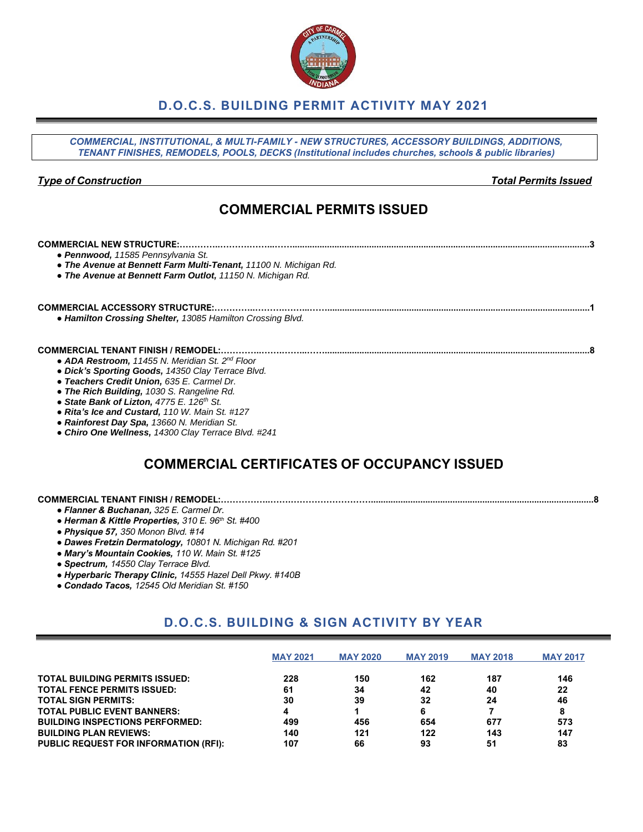## **D.O.C.S. BUILDING PERMIT ACTIVITY MAY 2021**

*COMMERCIAL, INSTITUTIONAL, & MULTI-FAMILY - NEW STRUCTURES, ACCESSORY BUILDINGS, ADDITIONS, TENANT FINISHES, REMODELS, POOLS, DECKS (Institutional includes churches, schools & public libraries) Type of Construction Total Permits Issued* **COMMERCIAL PERMITS ISSUED COMMERCIAL NEW STRUCTURE:…………..……….……...……........................................................................................................................3** *● Pennwood, 11585 Pennsylvania St. ● The Avenue at Bennett Farm Multi-Tenant, 11100 N. Michigan Rd. ● The Avenue at Bennett Farm Outlot, 11150 N. Michigan Rd.* **COMMERCIAL ACCESSORY STRUCTURE:…………..……….……...……..........................................................................................................1** *● Hamilton Crossing Shelter, 13085 Hamilton Crossing Blvd.* **COMMERCIAL TENANT FINISH / REMODEL:…………..…….……...……...........................................................................................................8** *● ADA Restroom, 11455 N. Meridian St. 2nd Floor ● Dick's Sporting Goods, 14350 Clay Terrace Blvd.*

- *● Teachers Credit Union, 635 E. Carmel Dr.*
- *● The Rich Building, 1030 S. Rangeline Rd.*
- *● State Bank of Lizton, 4775 E. 126th St.*
- *● Rita's Ice and Custard, 110 W. Main St. #127*
- *● Rainforest Day Spa, 13660 N. Meridian St.*
- *● Chiro One Wellness, 14300 Clay Terrace Blvd. #241*

### **COMMERCIAL CERTIFICATES OF OCCUPANCY ISSUED**

#### **COMMERCIAL TENANT FINISH / REMODEL:……………..…….………………………..........................................................................................8**

- *● Flanner & Buchanan, 325 E. Carmel Dr.*
- *● Herman & Kittle Properties, 310 E. 96th St. #400*
- *● Physique 57, 350 Monon Blvd. #14*
- *● Dawes Fretzin Dermatology, 10801 N. Michigan Rd. #201*
- *● Mary's Mountain Cookies, 110 W. Main St. #125*
- *● Spectrum, 14550 Clay Terrace Blvd.*
- *● Hyperbaric Therapy Clinic, 14555 Hazel Dell Pkwy. #140B*
- *● Condado Tacos, 12545 Old Meridian St. #150*

### **D.O.C.S. BUILDING & SIGN ACTIVITY BY YEAR**

|                                              | <b>MAY 2021</b> | <b>MAY 2020</b> | <b>MAY 2019</b> | <b>MAY 2018</b> | <b>MAY 2017</b> |
|----------------------------------------------|-----------------|-----------------|-----------------|-----------------|-----------------|
| <b>TOTAL BUILDING PERMITS ISSUED:</b>        | 228             | 150             | 162             | 187             | 146             |
| <b>TOTAL FENCE PERMITS ISSUED:</b>           | 61              | 34              | 42              | 40              | 22              |
| <b>TOTAL SIGN PERMITS:</b>                   | 30              | 39              | 32              | 24              | 46              |
| <b>TOTAL PUBLIC EVENT BANNERS:</b>           |                 |                 | 6               |                 | 8               |
| <b>BUILDING INSPECTIONS PERFORMED:</b>       | 499             | 456             | 654             | 677             | 573             |
| <b>BUILDING PLAN REVIEWS:</b>                | 140             | 121             | 122             | 143             | 147             |
| <b>PUBLIC REQUEST FOR INFORMATION (RFI):</b> | 107             | 66              | 93              | 51              | 83              |

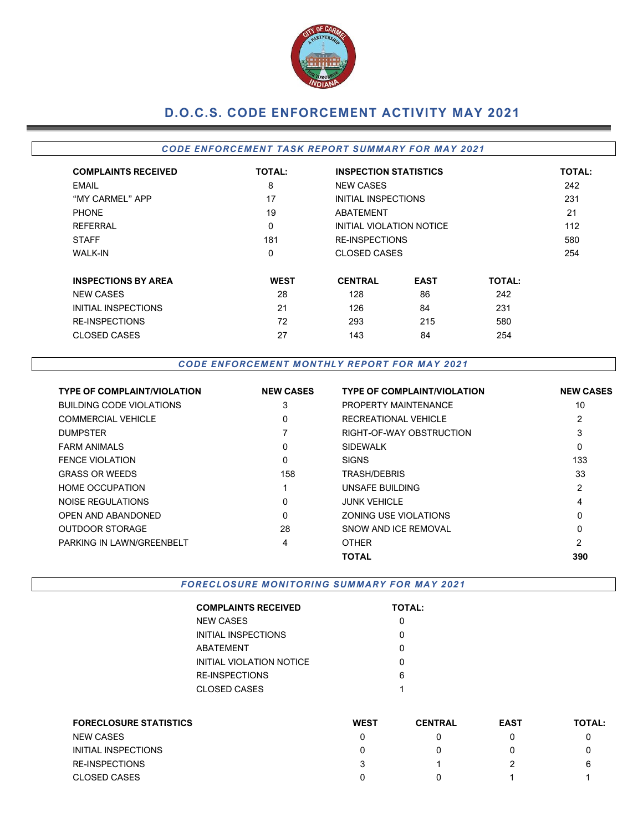

# **D.O.C.S. CODE ENFORCEMENT ACTIVITY MAY 2021**

#### *CODE ENFORCEMENT TASK REPORT SUMMARY FOR MAY 2021*

| <b>COMPLAINTS RECEIVED</b> | <b>TOTAL:</b> |                     | <b>INSPECTION STATISTICS</b> |               |     |  |  |  |  |
|----------------------------|---------------|---------------------|------------------------------|---------------|-----|--|--|--|--|
| <b>EMAIL</b>               | 8             | <b>NEW CASES</b>    |                              |               | 242 |  |  |  |  |
| "MY CARMEL" APP            | 17            | INITIAL INSPECTIONS |                              |               | 231 |  |  |  |  |
| <b>PHONE</b>               | 19            | <b>ABATEMENT</b>    |                              |               |     |  |  |  |  |
| <b>REFERRAL</b>            | 0             |                     | INITIAL VIOLATION NOTICE     |               |     |  |  |  |  |
| <b>STAFF</b>               | 181           |                     | <b>RE-INSPECTIONS</b>        |               |     |  |  |  |  |
| <b>WALK-IN</b>             | 0             |                     | CLOSED CASES                 |               |     |  |  |  |  |
| <b>INSPECTIONS BY AREA</b> | <b>WEST</b>   | <b>CENTRAL</b>      | <b>EAST</b>                  | <b>TOTAL:</b> |     |  |  |  |  |
| <b>NEW CASES</b>           | 28            | 128                 | 86                           | 242           |     |  |  |  |  |
| INITIAL INSPECTIONS        | 21            | 126                 | 84                           | 231           |     |  |  |  |  |
| <b>RE-INSPECTIONS</b>      | 72            | 293                 | 215                          | 580           |     |  |  |  |  |
| <b>CLOSED CASES</b>        | 27            | 143                 | 84                           | 254           |     |  |  |  |  |

#### *CODE ENFORCEMENT MONTHLY REPORT FOR MAY 2021*

| <b>TYPE OF COMPLAINT/VIOLATION</b> | <b>NEW CASES</b> | <b>TYPE OF COMPLAINT/VIOLATION</b> | <b>NEW CASES</b> |
|------------------------------------|------------------|------------------------------------|------------------|
| BUILDING CODE VIOLATIONS           | 3                | PROPERTY MAINTENANCE               | 10               |
| <b>COMMERCIAL VEHICLE</b>          | 0                | RECREATIONAL VEHICLE               | 2                |
| <b>DUMPSTER</b>                    |                  | RIGHT-OF-WAY OBSTRUCTION           | 3                |
| <b>FARM ANIMALS</b>                | $\mathbf{0}$     | <b>SIDEWALK</b>                    | 0                |
| FENCE VIOLATION                    | 0                | <b>SIGNS</b>                       | 133              |
| <b>GRASS OR WEEDS</b>              | 158              | TRASH/DEBRIS                       | 33               |
| <b>HOME OCCUPATION</b>             |                  | UNSAFE BUILDING                    | 2                |
| NOISE REGULATIONS                  | $\Omega$         | <b>JUNK VEHICLE</b>                | 4                |
| <b>OPEN AND ABANDONED</b>          | $\Omega$         | ZONING USE VIOLATIONS              | 0                |
| <b>OUTDOOR STORAGE</b>             | 28               | SNOW AND ICE REMOVAL               | 0                |
| PARKING IN LAWN/GREENBELT          | 4                | <b>OTHER</b>                       | $\overline{2}$   |
|                                    |                  | ΤΟΤΑL                              | 390              |

### *FORECLOSURE MONITORING SUMMARY FOR MAY 2021*

| <b>COMPLAINTS RECEIVED</b> | <b>TOTAL:</b> |
|----------------------------|---------------|
| NEW CASES                  |               |
| INITIAL INSPECTIONS        | ი             |
| ABATEMENT                  |               |
| INITIAL VIOLATION NOTICE   | O             |
| RE-INSPECTIONS             | 6             |
| CLOSED CASES               | 1             |
|                            |               |

| <b>FORECLOSURE STATISTICS</b> | <b>WEST</b> | <b>CENTRAL</b> | <b>EAST</b> | <b>TOTAL:</b> |
|-------------------------------|-------------|----------------|-------------|---------------|
| <b>NEW CASES</b>              |             |                |             |               |
| INITIAL INSPECTIONS           |             |                |             |               |
| <b>RE-INSPECTIONS</b>         |             |                |             | 6             |
| <b>CLOSED CASES</b>           |             |                |             |               |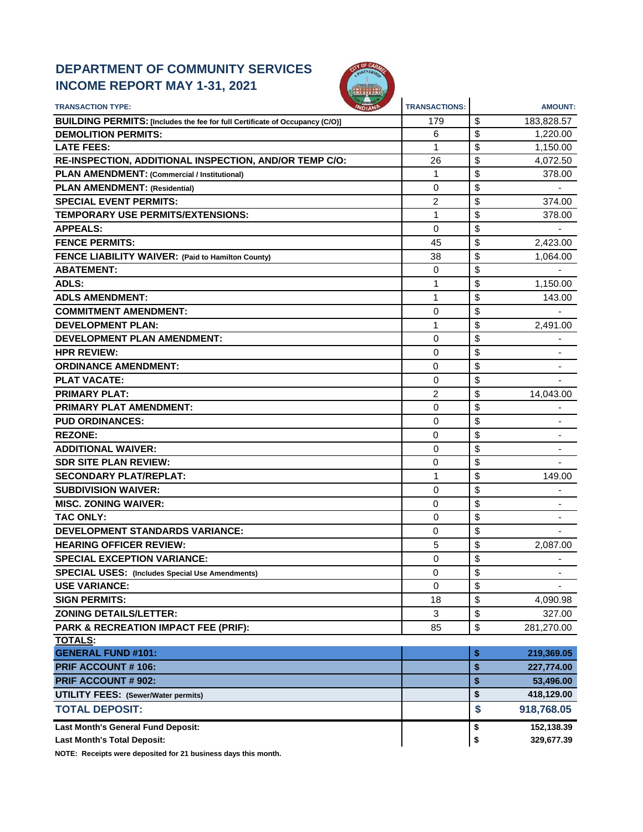# **DEPARTMENT OF COMMUNITY SERVICES INCOME REPORT MAY 1-31, 2021**



| <b>TRANSACTION TYPE:</b>                                                     | <b>TRANSACTIONS:</b> | <b>AMOUNT:</b>                 |
|------------------------------------------------------------------------------|----------------------|--------------------------------|
| BUILDING PERMITS: [Includes the fee for full Certificate of Occupancy (C/O)] | 179                  | \$<br>183,828.57               |
| <b>DEMOLITION PERMITS:</b>                                                   | 6                    | \$<br>1,220.00                 |
| <b>LATE FEES:</b>                                                            | 1                    | \$<br>1,150.00                 |
| RE-INSPECTION, ADDITIONAL INSPECTION, AND/OR TEMP C/O:                       | 26                   | \$<br>4,072.50                 |
| PLAN AMENDMENT: (Commercial / Institutional)                                 | 1                    | \$<br>378.00                   |
| <b>PLAN AMENDMENT: (Residential)</b>                                         | $\Omega$             | \$                             |
| <b>SPECIAL EVENT PERMITS:</b>                                                | 2                    | \$<br>374.00                   |
| <b>TEMPORARY USE PERMITS/EXTENSIONS:</b>                                     | 1                    | \$<br>378.00                   |
| <b>APPEALS:</b>                                                              | $\Omega$             | \$                             |
| <b>FENCE PERMITS:</b>                                                        | 45                   | \$<br>2,423.00                 |
| FENCE LIABILITY WAIVER: (Paid to Hamilton County)                            | 38                   | \$<br>1,064.00                 |
| <b>ABATEMENT:</b>                                                            | 0                    | \$                             |
| ADLS:                                                                        | 1                    | \$<br>1,150.00                 |
| <b>ADLS AMENDMENT:</b>                                                       | 1                    | \$<br>143.00                   |
| <b>COMMITMENT AMENDMENT:</b>                                                 | $\mathbf 0$          | \$                             |
| <b>DEVELOPMENT PLAN:</b>                                                     | 1                    | \$<br>2,491.00                 |
| <b>DEVELOPMENT PLAN AMENDMENT:</b>                                           | $\Omega$             | \$                             |
| <b>HPR REVIEW:</b>                                                           | 0                    | \$                             |
| <b>ORDINANCE AMENDMENT:</b>                                                  | 0                    | \$                             |
| <b>PLAT VACATE:</b>                                                          | 0                    | \$                             |
| <b>PRIMARY PLAT:</b>                                                         | 2                    | \$<br>14,043.00                |
| <b>PRIMARY PLAT AMENDMENT:</b>                                               | 0                    | \$                             |
| <b>PUD ORDINANCES:</b>                                                       | $\Omega$             | \$                             |
| <b>REZONE:</b>                                                               | 0                    | \$                             |
| <b>ADDITIONAL WAIVER:</b>                                                    | 0                    | \$                             |
| <b>SDR SITE PLAN REVIEW:</b>                                                 | 0                    | \$                             |
| <b>SECONDARY PLAT/REPLAT:</b>                                                | 1                    | \$<br>149.00                   |
| <b>SUBDIVISION WAIVER:</b>                                                   | $\Omega$             | \$                             |
| <b>MISC. ZONING WAIVER:</b>                                                  | 0                    | \$                             |
| <b>TAC ONLY:</b>                                                             | 0                    | \$                             |
| <b>DEVELOPMENT STANDARDS VARIANCE:</b>                                       | 0                    | \$                             |
| <b>HEARING OFFICER REVIEW:</b>                                               | 5                    | \$<br>2,087.00                 |
| <b>SPECIAL EXCEPTION VARIANCE:</b>                                           | 0                    | \$                             |
| <b>SPECIAL USES:</b> (Includes Special Use Amendments)                       | 0                    | \$<br>$\overline{\phantom{a}}$ |
| <b>USE VARIANCE:</b>                                                         | $\Omega$             | \$                             |
| <b>SIGN PERMITS:</b>                                                         | 18                   | \$<br>4,090.98                 |
| <b>ZONING DETAILS/LETTER:</b>                                                | 3                    | \$<br>327.00                   |
| PARK & RECREATION IMPACT FEE (PRIF):                                         | 85                   | \$<br>281,270.00               |
| <b>TOTALS:</b>                                                               |                      |                                |
| <b>GENERAL FUND #101:</b>                                                    |                      | \$<br>219,369.05               |
| PRIF ACCOUNT # 106:                                                          |                      | \$<br>227,774.00               |
| <b>PRIF ACCOUNT # 902:</b>                                                   |                      | \$<br>53,496.00                |
| <b>UTILITY FEES: (Sewer/Water permits)</b>                                   |                      | \$<br>418,129.00               |
| <b>TOTAL DEPOSIT:</b>                                                        |                      | \$<br>918,768.05               |
| Last Month's General Fund Deposit:                                           |                      | \$<br>152,138.39               |
| <b>Last Month's Total Deposit:</b>                                           |                      | \$<br>329,677.39               |

**NOTE: Receipts were deposited for 21 business days this month.**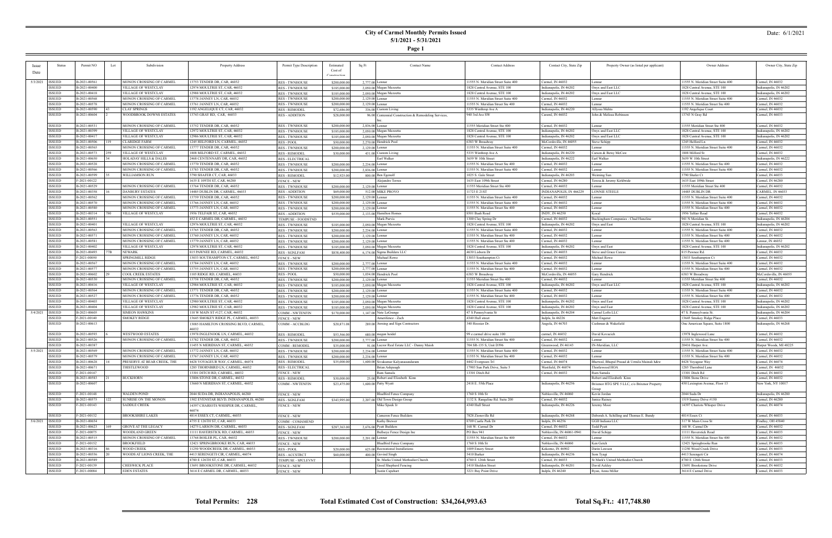**Page 1**

#### Date: 6/1/2021

|          | <b>Status</b> |              |      | Subdivision                      |                                         |                         |              |                                                      |                                    |                            |                                             |                                    |                        |
|----------|---------------|--------------|------|----------------------------------|-----------------------------------------|-------------------------|--------------|------------------------------------------------------|------------------------------------|----------------------------|---------------------------------------------|------------------------------------|------------------------|
|          |               | Permit NO    | Lot  |                                  | Property Address                        | Permit Type Description | Estimated    | Sq Ft<br><b>Contact Name</b>                         | <b>Contact Address</b>             | Contact City, State Zip    | Property Owner (as listed per applicant)    | Owner Address                      | Owner City, State Zip  |
| Date     |               |              |      |                                  |                                         |                         | Cost of      |                                                      |                                    |                            |                                             |                                    |                        |
|          |               |              |      |                                  |                                         |                         | Construction |                                                      |                                    |                            |                                             |                                    |                        |
| 5/3/2021 | <b>ISSUED</b> | B-2021-00561 |      | MONON CROSSING OF CARMEL         | 13753 TENDER DR, CAR, 46032             | <b>RES - TWNHOUSE</b>   | \$200,000.00 | 2,777.00 Lennar                                      | 11555 N. Meridian Street Suite 400 | Carmel, IN 46032           | Lennar                                      | 11555 N. Meridian Street Suite 400 | Carmel, IN 46032       |
|          | <b>ISSUED</b> | B-2021-00400 |      | VILLAGE OF WESTCLAY              | 12974 MOULTRIE ST, CAR, 46032           | <b>RES-TWNHOUSE</b>     | \$185,000.00 | 2,050.00 Megan Mezzetta                              | 1828 Central Avenue, STE 100       | ndianapolis, IN 46202      | Onyx and East LLC                           | 1828 Central Avenue, STE 100       | ndianapolis, IN 46202  |
|          |               |              |      |                                  |                                         |                         |              |                                                      |                                    |                            |                                             |                                    |                        |
|          | <b>ISSUED</b> | B-2021-00418 |      | VILLAGE OF WESTCLAY              | 12988 MOULTRIE ST, CAR, 46032           | <b>RES - TWNHOUSE</b>   | \$185,000.00 | 2,050.00 Megan Mezzetta                              | 1828 Central Avenue, STE 100       | Indianapolis, IN 46202     | Onyx and East LLC                           | 1828 Central Avenue, STE 100       | Indianapolis, IN 46202 |
|          | ISSUED        | B-2021-00568 |      | MONON CROSSING OF CARMEL         | 13778 JANNEY LN, CAR, 46032             | <b>RES - TWNHOUSE</b>   | \$200,000.00 | 2,129.00 Lennar                                      | 11555 N. Meridian Street Suite 400 | Carmel, IN 46032           | Lennar                                      | 11555 N. Meridian Street Suite 400 | Carmel, IN 46032       |
|          | <b>ISSUED</b> | B-2021-00578 |      | MONON CROSSING OF CARMEL         | 13761 JANNEY LN, CAR, 46032             | <b>RES - TWNHOUSE</b>   | \$200,000.00 | 2,129.00 Lennar                                      | 11555 N. Meridian Street Ste 400   | Carmel, IN 46032           | Lennar                                      | 11555 N. Meridian Street Ste 400   | Carmel, IN 46032       |
|          | <b>ISSUED</b> | B-2021-00590 |      | <b>CLAY SPRINGS</b>              | 1192 ANGELIQUE CT, CAR, 46032           | <b>RES - REMODEI</b>    | \$72,686.00  | 336.00 Custom Living                                 | 5335 Winthrop Ave A                | Indianapolis, IN 46220     | Allyssa Mehta                               | 1192 Angelique Court               | Carmel, IN 46032       |
|          | <b>ISSUED</b> | B-2021-00604 |      | WOODBROOK DOWNS ESTATES          | 13743 GRAY RD, CAR, 46033               |                         |              |                                                      | 940 3rd Ave SW                     | Careml, IN 46032           | John & Melissa Robinson                     |                                    | Carmel, IN 46033       |
|          |               |              |      |                                  |                                         | <b>RES - ADDITION</b>   | \$28,000.00  | 96.00 Centennial Construction & Remodeling Services, |                                    |                            |                                             | 13743 N Gray Rd                    |                        |
|          |               |              |      |                                  |                                         |                         |              |                                                      |                                    |                            |                                             |                                    |                        |
|          | ISSUED        | B-2021-00531 |      | MONON CROSSING OF CARMEL         | 13752 TENDER DR, CAR, 46032             | <b>RES - TWNHOUSE</b>   | \$200,000.00 | 2,836.00 Lennar                                      | 11555 Meridian Street Ste 400      | Carmel, IN 46032           | Lennar                                      | 11555 Meridian Street Ste 400      | Carmel, IN 46032       |
|          | ISSUED        | B-2021-00399 |      | VILLAGE OF WESTCLAY              | 12972 MOULTRIE ST, CAR, 46032           | <b>RES - TWNHOUSE</b>   | \$185,000.00 | 2,050.00 Megan Mezzetta                              | 1828 Central Avenue, STE 100       | ndianapolis, IN 46202      | Onyx and East LLC                           | 1828 Central Avenue, STE 100       | ndianapolis, IN 46202  |
|          | <b>ISSUED</b> | B-2021-00417 |      | VILLAGE OF WESTCLAY              | 12986 MOULTRIE ST, CAR, 46032           | <b>RES - TWNHOUSE</b>   | \$185,000.00 | 2,050.00 Megan Mezzetta                              | 1828 Central Avenue, STE 100       | ndianapolis, IN 46202      | Onyx and East LLC                           | 1828 Central Avenue, STE 100       | Indianapolis, IN 46202 |
|          | <b>ISSUED</b> | B-2021-00506 |      | <b>CLARIDGE FARM</b>             | 1245 HELFORD LN, CARMEL, 46032          | RES - POOL              | \$50,000.00  | 2,270.00 Hendrick Pool                               | 6383 W Broadway                    | McCordsville, IN 46055     | Steve Schipp                                | 1245 Helford Ln                    | Carmel, IN 46032       |
|          |               |              |      |                                  |                                         |                         |              |                                                      |                                    |                            |                                             |                                    |                        |
|          | <b>ISSUED</b> | B-2021-00565 |      | MONON CROSSING OF CARMEL         | 13777 TENDER DR, CAR, 46032             | <b>RES - TWNHOUSE</b>   | \$200,000.00 | 2,129.00 Lennar                                      | 11555 N. Meridian Street Suite 400 | Carmel, IN 46032           | Lennar                                      | 11555 N. Meridian Street Suite 400 | Carmel, IN 46032       |
|          | <b>ISSUED</b> | B-2021-00573 |      | VILLAGE OF WESTCLAY              | 1808 MILFORD ST, CARMEL, 46032          | <b>RES - REMODEL</b>    | \$30,000.00  | 431.00 Custom Living                                 | 5335 Winthrop Ave A                | Indianapolis, IN 46220     | Carson & Betsy McCaw                        | 1808 Milford St                    | Carmel, IN 46032       |
|          | <b>ISSUED</b> | B-2021-00650 |      | <b>HOLADAY HILLS &amp; DALES</b> | 2468 CENTENNARY DR, CAR, 46032          | <b>RES - ELECTRICAL</b> |              | Earl Walker                                          | 3659 W 10th Street                 | Indianapolis, IN 46222     | Earl Walker                                 | 3659 W 10th Street                 | Indianapolis, IN 46222 |
|          | <b>ISSUED</b> | B-2021-00528 |      | MONON CROSSING OF CARMEI         | 13770 TENDER DR, CAR, 46032             | <b>RES - TWNHOUSE</b>   | \$200,000.00 | 2,234.00 Lennar                                      | 11555 N. Meridian Street Ste 400   | Carmel, IN 46032           | Lennar                                      | 11555 N. Meridian Street Ste 400   | Carmel, IN 46032       |
|          | ISSUED        | B-2021-00566 |      | MONON CROSSING OF CARMEL         | 13783 TENDER DR, CAR, 46032             |                         |              |                                                      | 11555 N. Meridian Street Suite 400 | Carmel, IN 46032           |                                             | 11555 N. Meridian Street Suite 400 | Carmel, IN 46032       |
|          |               |              |      |                                  |                                         | <b>RES - TWNHOUSE</b>   | \$200,000.00 | 2,836.00 Lennar                                      |                                    |                            | Lennar                                      |                                    |                        |
|          | <b>ISSUED</b> | B-2021-00599 |      | <b>WILLIAMSON RUN</b>            | 3790 SHAFER CT, CAR, 46033              | <b>RES - REMODEI</b>    | \$12,925.00  | 800.00 Ben Egenolf                                   | 1025 S. Gale Street                | Indianapolis, IN 46203     | Weiming Sun                                 | 3790 Shafer Ct                     | Carmel, IN 46033       |
|          | <b>ISSUED</b> | F-2021-00122 |      |                                  | 1635 E 109TH ST, CAR, 46280             | <b>FENCE - NEW</b>      |              | Alejandro Torres                                     | 1635 East 109th Street             | Carmel, IN 46280           | Teresa & Jeremy Kirkbride                   | 1635 East 109th Street             | Carmel, IN 46280       |
|          | ISSUED        | B-2021-00529 |      | MONON CROSSING OF CARMEL         | 13764 TENDER DR, CAR, 46032             | <b>RES - TWNHOUSE</b>   | \$200,000.00 | 2,129.00 Lennar                                      | 11555 Meridian Street Ste 400      | Carmel, IN 46032           | Lennar                                      | 11555 Meridian Street Ste 400      | Carmel, IN 46032       |
|          | <b>ISSUED</b> | B-2021-00358 |      | DANBURY ESTATES                  | 14485 DUBLIN DR, CARMEL, 46033          | <b>RES - ADDITION</b>   | \$69,000.00  | 512.00 MIKE PROVO                                    | 11723 E 21ST                       | NDIANAPOLIS, IN 466229     | <b>LONNIE STEELE</b>                        | 14485 DUBLIN DR                    | CARMEL, IN 46033       |
|          | <b>ISSUED</b> | B-2021-00562 |      | MONON CROSSING OF CARMEL         | 13759 TENDER DR, CAR, 46032             |                         |              |                                                      | 11555 N. Meridian Street Suite 400 | Carmel, IN 46032           |                                             |                                    | Carmel, IN 46032       |
|          |               |              |      |                                  |                                         | <b>RES - TWNHOUSE</b>   | \$200,000.00 | 2,129.00 Lennar                                      |                                    |                            | Lennar                                      | 11555 N. Meridian Street Suite 400 |                        |
|          | <b>ISSUED</b> | B-2021-00570 |      | MONON CROSSING OF CARMEL         | 13766 JANNEY LN, CAR, 46032             | <b>RES-TWNHOUSE</b>     | \$200,000.00 | 2,129.00 Lennar                                      | 11555 N. Meridian Street Suite 400 | Carmel, IN 46032           | Lennar                                      | 11555 N. Meridian Street Suite 400 | Carmel, IN 46032       |
|          | ISSUED        | B-2021-00580 |      | MONON CROSSING OF CARMEL         | 13773 JANNEY LN, CAR, 46032             | <b>RES-TWNHOUSE</b>     | \$200,000.00 | 2,129.00 Lennar                                      | 11555 N. Meridian Street Ste 400   | Carmel, IN 46032           | Lennar                                      | 11555 N. Meridian Street Ste 400   | Carmel, IN 46032       |
|          | <b>ISSUED</b> | B-2021-00314 | 780. | <b>VILLAGE OF WESTCLAY</b>       | 1956 TELFAIR ST, CAR, 46032             | <b>RES - ADDITION</b>   | \$539,000.00 | 2,133.00 Hamilton Homes                              | 8501 Bash Road                     | INDY, IN 46250             |                                             | 1956 Telfair Road                  | Carmel, IN 46032       |
|          | <b>ISSUED</b> | B-2021-00551 |      |                                  | 452 E CARMEL DR, CARMEL, 46032          | TEMPUSE - FOODSTND      |              | <b>Mark Purvis</b>                                   | 1300 Clay Spring Dr                | Carmel, IN 46032           | Buckingham Companies - Chad Haneline        | 941 N Meridian St.                 | ndianapolis, IN 46204  |
|          |               |              |      |                                  |                                         |                         |              |                                                      |                                    |                            |                                             |                                    |                        |
|          | ISSUED        | B-2021-00401 |      | VILLAGE OF WESTCLAY              | 12976 MOULTRIE ST, CAR, 46032           | <b>RES - TWNHOUSE</b>   | \$185,000.00 | 2,050.00 Megan Mezzetta                              | 1828 Central Avenue, STE 100       | Indianapolis, IN 46202     | Onyx and East                               | 1828 Central Avenue, STE 100       | Indianapolis, IN 46202 |
|          | <b>ISSUED</b> | B-2021-00563 |      | MONON CROSSING OF CARMEI         | 13765 TENDER DR, CAR, 46032             | <b>RES-TWNHOUSE</b>     | \$200,000.00 | 2,234.00 Lennar                                      | 11555 N. Meridian Street Suite 400 | Carmel, IN 46032           | Lennar                                      | 11555 N. Meridian Street Suite 400 | Carmel, IN 46032       |
|          | ISSUED        | B-2021-00571 |      | MONON CROSSING OF CARMEL         | 13760 JANNEY LN, CAR, 46032             | <b>RES - TWNHOUSE</b>   | \$200,000.00 | 2,129.00 Lennar                                      | 11555 N. Meridian Street Ste 400   | Carmel, IN 46032           | Lennar                                      | 11555 N. Meridian Street Ste 400   | Carmel, IN 46032       |
|          | ISSUED        | B-2021-00581 |      | MONON CROSSING OF CARMEL         | 13779 JANNEY LN, CAR, 46032             | <b>RES - TWNHOUSE</b>   | \$200,000.00 | 2,129.00 Lennar                                      | 11555 N. Meridian Street Ste 400   | Carmel, IN 46032           | Lennar                                      | 11555 N. Meridian Street Ste 400   | Lennar, IN 46032       |
|          | ISSUED        | B-2021-00402 |      | VILLAGE OF WESTCLAY              | 12978 MOULTRIE ST, CAR, 46032           |                         | \$185,000.00 |                                                      | 1828 Central Avenue, STE 100       |                            | Onyx and East                               | 1828 Central Avenue, STE 100       | Indianapolis, IN 46202 |
|          |               |              |      |                                  |                                         | <b>RES - TWNHOUSE</b>   |              | 2,050.00 Megan Mezzetta                              |                                    | Indianapolis, IN 46202     |                                             |                                    |                        |
|          | <b>ISSUED</b> | B-2021-00493 | 77B. | <b>NEWARK</b>                    | 815 PAWNEE RD, CARMEL, 46032            | <b>RES - SGNLFAM</b>    | \$838,400.00 | 6,174.00 Sigma Builders LLC                          | 4630 Lisborn Dr                    | Carmel, IN 46033           | Steve and Grace Caress                      | 815 Pawnee Rd.                     | Carmel, IN 46032       |
|          | ISSUED        | F-2021-00050 |      | SPRINGMILL RIDGE                 | 13033 SOUTHAMPTON CT, CARMEL, 46032     | <b>FENCE - NEW</b>      |              | Michael Rowe                                         | 13033 Southampton Ct               | Carmel, IN 46032           | Michael Rowe                                | 13033 Southampton Ct               | Carmel, IN 46032       |
|          | ISSUED        | B-2021-00567 |      | MONON CROSSING OF CARMEL         | 13784 JANNEY LN, CAR, 46032             | <b>RES - TWNHOUSE</b>   | \$200,000.00 | 2,777.00 Lennar                                      | 11555 N. Meridian Street Suite 400 | Carmel, IN 46032           | Lennar                                      | 11555 N. Meridian Street Suite 400 | Carmel, IN 46032       |
|          | <b>ISSUED</b> | B-2021-00577 |      | MONON CROSSING OF CARMEL         | 13755 JANNEY LN, CAR, 46032             | <b>RES - TWNHOUSE</b>   | \$200,000.00 | 2,777.00 Lennar                                      | 11555 N. Meridian Street Ste 400   | Carmel, IN 46032           | Lennar                                      | 11555 N. Meridian Street Ste 400   | Carmel, IN 46032       |
|          |               | B-2021-00602 |      |                                  |                                         |                         |              | 1,034,00 Hendrick Pool                               |                                    | McCordsville, IN 46055     |                                             |                                    | McCordsville, IN 46055 |
|          | <b>ISSUED</b> |              |      | COOL CREEK ESTATES               | 1105 RIDGE RD, CARMEL, 46033            | <b>RES-POOL</b>         | \$50,000.00  |                                                      | 6383 W Broadway                    |                            | Gary Hendrick                               | 6383 W Broadway                    |                        |
|          | ISSUED        | B-2021-00530 |      | MONON CROSSING OF CARMEL         | 13758 TENDER DR, CAR, 46032             | <b>RES - TWNHOUSE</b>   | \$200,000.00 | $2,129.00$ Lennar                                    | 11555 Meridian Street Ste 400      | Carmel, IN 46032           | Lennar                                      | 11555 Meridian Street Ste 400      | Carmel, IN 46032       |
|          | <b>ISSUED</b> | B-2021-00416 |      | VILLAGE OF WESTCLAY              | 12984 MOULTRIE ST, CAR, 46032           | <b>RES - TWNHOUSE</b>   | \$185,000.00 | 2,050.00 Megan Mezzetta                              | 1828 Central Avenue, STE 100       | ndianapolis, IN 46202      | Onyx and East LLC                           | 1828 Central Avenue, STE 100       | Indianapolis, IN 46202 |
|          | <b>ISSUED</b> | B-2021-00564 |      | MONON CROSSING OF CARMEL         | 13771 TENDER DR, CAR, 46032             | <b>RES - TWNHOUSE</b>   | \$200,000.00 | $2,129.00$ Lennar                                    | 11555 N. Meridian Street Suite 400 | Carmel, IN 46032           | Lennar                                      | 11555 N. Meridian Street Suite 400 | Carmel, IN 46032       |
|          | <b>ISSUED</b> | B-2021-00527 |      | MONON CROSSING OF CARMEL         | 13776 TENDER DR, CAR, 46032             | <b>RES - TWNHOUSE</b>   | \$200,000.00 | 2,129.00 Lennar                                      | 11555 N. Meridian Street Ste 400   | Carmel, IN 46032           | Lennar                                      | 11555 N. Meridian Street Ste 400   | Carmel, IN 46032       |
|          |               |              |      |                                  |                                         |                         |              |                                                      |                                    |                            |                                             |                                    |                        |
|          | <b>ISSUED</b> | B-2021-00403 |      | VILLAGE OF WESTCLAY              | 12980 MOULTRIE ST, CAR, 46032           | <b>RES - TWNHOUSE</b>   | \$185,000.00 | 2,050.00 Megan Mezzetta                              | 1828 Central Avenue, STE 100       | Indianapolis, IN 46202     | Onyx and East                               | 1828 Central Avenue, STE 100       | Indianapolis, IN 46202 |
|          | <b>ISSUED</b> | B-2021-00404 |      | VILLAGE OF WESTCLAY              | 12982 MOULTRIE ST, CAR, 46032           | <b>RES - TWNHOUSE</b>   | \$185,000.00 | 2,050.00 Megan Mezzetta                              | 1828 Central Avenue, STE 100       | ndianapolis, IN 46202      | Onyx and East                               | 1828 Central Avenue, STE 100       | Indianapolis, IN 46202 |
| 5/4/2021 | <b>ISSUED</b> | B-2021-00605 |      | <b>SIMEON HAWKINS</b>            | 110 W MAIN ST #127, CAR, 46032          | <b>COMM - NWTENFIN</b>  | \$170,000.00 | 1,147.00 Nate LaGrange                               | 47 S Pennsylvania St               | Indianapolis, IN 46204     | Carmel Lofts LLC                            | 47 S. Pennsylvania St.             | Indianapolis, IN 46204 |
|          | ISSUED        | F-2021-00140 |      | SMOKEY RIDGE                     | 13645 SMOKEY RIDGE PL, CARMEL, 46033    | <b>FENCE - NEW</b>      |              | Amerifence - Zach                                    | 4340 Hull street                   | Indpls, In 46226           | Matt Engerer                                | 13645 Smokey Ridge Place           | Carmel, IN 46033       |
|          |               |              |      |                                  |                                         |                         |              |                                                      |                                    |                            |                                             |                                    |                        |
|          | ISSUED        | B-2021-00613 |      |                                  | 13085 HAMILTON CROSSING BLVD, CARMEL    | COMM - ACCBLDG          | \$20,871.08  | 289.00 Awning and Sign Contractors                   | 340 Hoosier Dr                     | Angola, IN 46703           | Cushman & Wakefield                         | One American Square, Suite 1800    | Indianapolis, IN 46268 |
|          |               |              |      |                                  | 46032                                   |                         |              |                                                      |                                    |                            |                                             |                                    |                        |
|          | ISSUED        | B-2021-00593 |      | WESTWOOD ESTATES                 | 13978 INGLENOOK LN, CARMEL, 46032       | <b>RES - REMODEL</b>    | \$53,566.00  | 680.00 megan heidel                                  | 99 e carmel drive suite 100        | armel, IN 46032            | David Kovacich                              | 13978 Inglewood Lane               | Carmel, IN 46032       |
|          | <b>ISSUED</b> | B-2021-00526 |      | MONON CROSSING OF CARMEL         | 13782 TENDER DR, CAR, 46032             | <b>RES - TWNHOUSE</b>   | \$200,000.00 | 2,777.00 Lennar                                      | 11555 N. Meridian Street Ste 400   | Carmel, IN 46032           | Lennar                                      | 11555 N. Meridian Street Ste 400   | Carmel, IN 46032       |
|          | <b>ISSUED</b> | B-2021-00387 |      |                                  | 11455 N MERIDIAN ST, CARMEL, 46032      | <b>COMM - REMODEI</b>   | \$35,000.00  | 91.00 Lucror Real Estate LLC - Danny Maish           | 704 SR-135 S, Unit D396            | Greenwood, IN 46143        | IN-Meridian, LLC                            | 20416 Harper Ave                   | Harper Woods, MI 48225 |
| 5/5/2021 | <b>ISSUED</b> | B-2021-00569 |      | MONON CROSSING OF CARMEI         | 13772 JANNEY LN, CAR, 46032             | <b>RES - TWNHOUSE</b>   | \$200,000.00 | 2,234.00 Lennar                                      | 1555 N. Meridian Street Suite 400  | Carmel, IN 46032           | Lennar                                      | 11555 N. Meridian Street Suite 400 | Carmel, IN 46032       |
|          |               |              |      |                                  |                                         |                         |              |                                                      |                                    |                            |                                             |                                    |                        |
|          | <b>ISSUED</b> | B-2021-00579 |      | MONON CROSSING OF CARMEL         | 13767 JANNEY LN, CAR, 46032             | <b>RES - TWNHOUSE</b>   | \$200,000.00 | 2,234.00 Lennar                                      | 11555 N. Meridian Street Ste 400   | Carmel, IN 46032           | Lennar                                      | 11555 N. Meridian Street Ste 400   | Carmel, IN 46032       |
|          | ISSUED        | B-2021-00628 |      | PRESERVE AT BEAR CREEK, THE      | 4428 VOYAGEUR WAY, CARMEL, 46074        | <b>RES - REMODEL</b>    | \$35,000.00  | 1,600.00 Sivakumar Kalyanasundaram                   | 4442 Evergreen Trl                 | Carmel, IN 46074           | Bhetwal, Bhupal Prasad & Urmila Mainali h&w | 4428 Voyageur Way                  | Carmel, IN 46074       |
|          | ISSUED        | B-2021-00671 |      | THISTLEWOOD                      | 1285 THORNBIRD LN, CARMEL, 46032        | <b>RES - ELECTRICAL</b> |              | Brian Ashpaugh                                       | 17903 Sun Park Drive, Suite 5      | Westfield, IN 46074        | Thistlewood HOA                             | 1285 Thornbird Lane                | Carmel, IN 46032       |
|          | <b>ISSUED</b> | F-2021-00147 |      |                                  | 13301 DITCH RD, CARMEL, 46032           | <b>FENCE - NEW</b>      |              | Ram Samala                                           | 13301 Ditch Rd                     | Carmel, IN 46032           | Ram Samala                                  | 13301 Ditch Rd                     | Carmel, IN 46032       |
|          | <b>ISSUED</b> | B-2021-00583 |      | <b>BUCKHORN</b>                  | 13806 STONE DR, CARMEL, 46032           | <b>RES - REMODEL</b>    | \$30,000.00  | 25.00 Robert and Elizabeth Kinn                      |                                    |                            | Robert and Elizabeth Kinn                   | 13806 Stone Drive                  | Carmel, IN 46032       |
|          |               |              |      |                                  |                                         |                         |              |                                                      |                                    |                            |                                             |                                    |                        |
|          | <b>ISSUED</b> | B-2021-00607 |      |                                  | 13660 N MERIDIAN ST, CARMEL, 46032      | <b>COMM - NWTENFIN</b>  | \$23,475.00  | $1,600.00$ Patty Wyatt                               | 2418 E. 55th Place                 | Indianapolis, IN 46256     | Brixmor HTG SPE 5 LLC, c/o Brixmor Property | 450 Lexington Avenue, Floor 13     | New York, NY 10017     |
|          |               |              |      |                                  |                                         |                         |              |                                                      |                                    |                            |                                             |                                    |                        |
|          | ISSUED        | F-2021-00148 |      | <b>WALDEN POND</b>               | 2044 SUDA DR, INDIANAPOLIS, 46280       | <b>FENCE - NEW</b>      |              | <b>BlueBird Fence Company</b>                        | 1760 S 10th St                     | Noblesville, IN 46060      | Kevin Jordan                                | 2044 Suda Dr                       | Indianapolis, IN 46280 |
|          | ISSUED        | B-2021-00575 | 122  | SUNRISE ON THE MONON             | 1502 EVENSTAR BLVD, INDIANAPOLIS, 46280 | RES - SGNLFAM           | \$343,995.00 | 2.207.00 Old Town Design Group                       | 1132 S. Rangeline Rd. Suite 200    | Carmel, IN 46032           | Janice Rainey                               | 1519 Sunray Drive #150             | Carmel, IN 46280       |
|          |               |              |      |                                  |                                         |                         |              |                                                      |                                    |                            |                                             |                                    |                        |
|          | <b>ISSUED</b> | F-2021-00143 |      | <b>SADDLE CREEK</b>              | 14397 CHARIOTS WHISPER DR, CARMEL,      | <b>FENCE - NEW</b>      |              | Mike Speek Jr                                        | 4340 Hull Street                   | Indianapolis, IN 46226     | Jeremy Moor                                 | 14397 Chariots Whisper Drive       | Carmel, IN 46074       |
|          |               |              |      |                                  | 46074                                   |                         |              |                                                      |                                    |                            |                                             |                                    |                        |
|          | ISSUED        | F-2021-00132 |      | <b>BROOKSHIRE LAKES</b>          | 4814 ESSEX CT, CARMEL, 46033            | <b>FENCE - NEW</b>      |              | Cameron Fence Builders                               | 7828 Zionsville Rd                 | Indianapolis, IN 46268     | Deborah A. Schilling and Thomas E. Bundy    | 4814 Essex Ct                      | Carmel, IN 46033       |
| 5/6/2021 | <b>ISSUED</b> | B-2021-00654 |      |                                  | 4755 E 126TH ST, CAR, 46033             | COMM - COMAMEND         |              | <b>Kathy Brewer</b>                                  | 8709 Castle Park Dr                | Indpls, IN 46256           | <b>GGII Indiana LLC</b>                     | 317 W Main Cross St                | Findlay, OH 45840      |
|          | ISSUED        | B-2021-00623 |      | <b>GROVE AT THE LEGACY</b>       | 14275 LARSON DR, CARMEL, 46033          | <b>RES - SGNLFAM</b>    | \$287,363.00 | 2,676.00 Pyatt Builders                              | 168 W. Carmel Dr                   | Carmel, IN 46032           | <b>Todd Pyatt</b>                           | 168 W. Carmel Dr                   | Carmel, IN 46032       |
|          | ISSUED        |              |      | WOODLAND GREEN                   | 11111 HAVERSTICK RD, CARMEL, 46033      |                         |              |                                                      | PO Box 941                         |                            |                                             |                                    | Carmel, IN 46033       |
|          |               | F-2021-00075 |      |                                  |                                         | <b>FENCE - NEW</b>      |              | Bullseye Fence Design Inc                            |                                    | Noblesville, IN 46061-0941 | David Schipp                                | 11111 Haverstick Road              |                        |
|          | <b>ISSUED</b> | B-2021-00515 |      | MONON CROSSING OF CARMEL         | 13768 BOILER PL, CAR, 46032             | <b>RES-TWNHOUSE</b>     | \$200,000.00 | $2.201.00$ Lennar                                    | 11555 N. Meridian Street Ste 400   | Carmel, IN 46032           | Lennar                                      | 11555 N. Meridian Street Ste 400   | Carmel, IN 46032       |
|          | <b>ISSUED</b> | F-2021-00152 |      | <b>BROOKFIELD</b>                | 12421 SPRINGBROOKE RUN, CAR, 46033      | <b>FENCE - NEW</b>      |              | <b>BlueBird Fence Company</b>                        | 1760 S 10th St                     | Noblesville, IN 46060      | Ken Getch                                   | 12421 Springbrooke Run             | Carmel, IN 46033       |
|          | ISSUED        | B-2021-00316 |      | WOOD CREEK                       | 11250 WOODCREEK DR, CARMEL, 46033       | RES - POOL              | \$20,000.00  | 625.00 Recreational Installations                    | 1009 Emery Street                  | Kokomo, IN 46902           | Darin Lawson                                | 11250 Wood Creek Drive             | Carmel, IN 46033       |
|          | <b>ISSUED</b> | B-2021-00556 |      | WOODS AT LIONS CREEK, THE        | 4413 SERENGETI CIR, CARMEL, 46074       | RES - ACCSTRCT          | \$60,000.00  | 400.00 Govind Singh                                  | 5410 Barker                        | Indianapolis, IN 46236     | Som Tyagi                                   | 4413 Serengeti Cir                 | Carmel, IN 46074       |
|          |               |              |      |                                  |                                         |                         |              |                                                      |                                    |                            |                                             |                                    |                        |
|          | <b>ISSUED</b> | B-2021-00589 |      |                                  | 4780 E 126TH ST, CAR, 46033             | TEMPUSE - SPCLEVNT      |              | St. Marks United Methodist Church                    | 4780 E 126th Street                | Carmel, IN 46033           | St Mark's United Methodist Church           | 4780 E 126th Street                | Carmel, IN 46033       |
|          | ISSUED        | F-2021-00139 |      | CHESWICK PLACE                   | 13691 BROOKSTONE DR, CARMEL, 46032      | <b>FENCE - NEW</b>      |              | Good Shepherd Fencing                                | 1410 Sheldon Street                | Indianapolis, IN 46201     | David Ackley                                | 13691 Brookstone Drive             | Carmel, IN 46032       |
|          | ISSUED        | F-2021-00084 |      | <b>EDEN ESTATES</b>              | 3614 E CARMEL DR, CARMEL, 46033         | <b>FENCE - NEW</b>      |              | Justin Capehart                                      | 3221 Bay Point Drive               | Indpls, IN 46240           | Ryan, Anna Miller                           | 3614 E Carmel Drive                | Carmel, IN 46033       |
|          |               |              |      |                                  |                                         |                         |              |                                                      |                                    |                            |                                             |                                    |                        |

÷

**Total Permits: 228 Total Estimated Cost of Construction: \$34,264,993.63 Total Sq.Ft.: 417,748.80**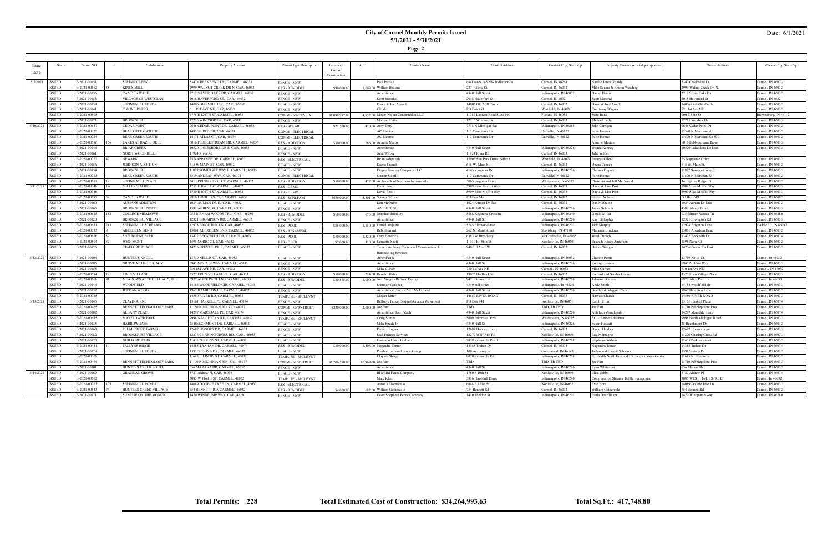**Page 2**

#### Date: 6/1/2021

| <b>Issue</b>     | Status        | Permit NO    | Lot | Subdivision                 | Property Address                    | Permit Type Description | Estimated      | Contact Name<br>Sq Ft                     | <b>Contact Address</b>        | Contact City, State Zip | Property Owner (as listed per applicant)         | Owner Address            | Owner City, State Zip |
|------------------|---------------|--------------|-----|-----------------------------|-------------------------------------|-------------------------|----------------|-------------------------------------------|-------------------------------|-------------------------|--------------------------------------------------|--------------------------|-----------------------|
|                  |               |              |     |                             |                                     |                         | Cost of        |                                           |                               |                         |                                                  |                          |                       |
| Date             |               |              |     |                             |                                     |                         | Constructio    |                                           |                               |                         |                                                  |                          |                       |
|                  |               |              |     |                             |                                     |                         |                |                                           |                               |                         |                                                  |                          |                       |
| 5/7/2021         | <b>ISSUED</b> | F-2021-00151 |     | <b>SPRING CREEK</b>         | 5347 CREEKBEND DR, CARMEL, 46033    | <b>FENCE - NEW</b>      |                | Paul Patrick                              | c/o Lowes 145 NW Indianapolis | Carmel, IN 46268        | Natalie Jones Grundy                             | 5347 Creekbend Dr        | Carmel, IN 46033      |
|                  | <b>ISSUED</b> | B-2021-00662 |     | <b>KINGS MILL</b>           | 2999 WALNUT CREEK DR N, CAR, 46032  | <b>RES-REMODEI</b>      | \$90,000.00    | 1.008.00 William Brosius                  | 2371 Glebe St.                | Carmel. IN 46032        | Mike Sauers & Kristin Wedding                    | 2999 Walnut Creek Dr. N. | Carmel. IN 46032      |
|                  | <b>ISSUED</b> | F-2021-00136 |     | CAMDEN WALK                 | 2712 SILVER OAKS DR. CARMEL, 46032  | <b>FENCE - NEW</b>      |                | Amerifence                                | 4340 Hull Street              | Indianapolis, IN 46032  | Daniel Harris                                    | 2712 Silver Oaks Dr      | Carmel, IN 46032      |
|                  | <b>ISSUED</b> | F-2021-00153 |     | <b>VILLAGE OF WESTCLAY</b>  | 2018 HAVERFORD ST, CAR, 46032       | <b>FENCE - NEW</b>      |                | Scott Moschel                             | 2018 Haverford St             | Carmel, IN 4632         | Scott Moschel                                    | 2018 Haverford St        | Carmel, IN 4632       |
|                  | <b>ISSUED</b> | F-2021-00159 |     | <b>SPRINGMILL PONDS</b>     | 14006 OLD MILL CIR. CAR. 46032      | <b>FENCE - NEW</b>      |                | Dawn & Joel Arnold                        | 14006 Old Mill Circle         | Carmel, IN 46032        | Dawn & Joel Arnold                               | 14006 Old Mill Circle    | Carmel, IN 46032      |
|                  | <b>ISSUED</b> | F-2021-00141 |     | C W WEIDLERS                | 611 1ST AVE NE, CAR, 46032          | <b>FENCE - NEW</b>      |                | Glidden                                   | <b>PO Box 481</b>             | Westfield, IN 46074     | Courtenav Wagner                                 | 521 1st Ave NE           | Carmel, IN 46032      |
|                  | ISSUED        | B-2021-00595 |     |                             | 4775 E 126TH ST, CARMEL, 46033      | <b>COMM - NWTENFIN</b>  | \$1,099,997.00 | 4.952.00 Meyer-Najem Construction LLC     | 11787 Lantern Road Suite 100  | Fishers, IN 46038       | <b>State Bank</b>                                | 900 E 56th St            | Brownsburg, IN 46112  |
|                  | <b>ISSUED</b> | F-2021-00121 |     | <b>BROOKSHIRE</b>           | 12215 WINDSOR DR, CAR, 46033        | <b>FENCE - NEW</b>      |                | Michael Fethe                             | 12215 Windsor Dr              | Carmel, IN 46033        | Michael Fethe                                    | 12215 Windsor Dr         | Carmel, IN 46033      |
| 5/10/2021        | <b>ISSUED</b> | B-2021-00657 |     | <b>CEDAR POINT</b>          | 9646 CEDAR POINT DR, CARMEL, 46032  | <b>RES - SOLAR</b>      | \$21,500.0     | 410.00 Amy Doty                           | 7718 N Michigan Rd            | Indianapolis, IN 46268  | John Carrigan                                    | 9646 Cedar Point Dr      | Carmel, IN 46032      |
|                  | <b>ISSUED</b> | B-2021-00725 |     | <b>BEAR CREEK SOUTH</b>     | 4485 SPIRIT CIR, CAR, 46074         | COMM - ELECTRICAL       |                | AC Electric                               | 117 Commerce Dr               | Danville, IN 46122      | Pulte Homes                                      | 11590 N Meridian St      | Carmel, IN 46032      |
|                  | <b>ISSUED</b> | B-2021-00724 |     | <b>BEAR CREEK SOUTH</b>     | 14171 ATLAS CT, CAR, 46074          |                         |                | AC Electric                               | 117 Commerce Dr               | Danville, IN 46122      | Pulte Homes                                      | 1590 N Meridian Ste 530  | Carmel, IN 46032      |
|                  | ISSUED        | B-2021-00586 |     | LAKES AT HAZEL DELL         | 6016 PEBBLESTREAM DR. CARMEL, 46033 | COMM - ELECTRICAL       |                |                                           |                               |                         | <b>Annette Marton</b>                            | 6016 Pebblestream Drive  | Carmel, IN 46033      |
|                  |               |              |     |                             |                                     | <b>RES - ADDITION</b>   | \$30,000.00    | 266.00 Annette Marton                     |                               |                         |                                                  |                          |                       |
|                  | <b>ISSUED</b> | F-2021-00146 |     | <b>BRIAR CREEK</b>          | 10520 LAKESHORE DR E, CAR, 46033    | <b>FENCE - NEW</b>      |                | Amerifence                                | 4340 Hull Street              | Indianapolis, IN 46226  | Wanda Kenney                                     | 10520 Lakeshore Dr East  | Carmel, IN 46033      |
|                  | <b>ISSUED</b> | F-2021-00161 |     | NORTHWOOD HILLS             | 11924 River Rd                      | <b>FENCE - NEW</b>      |                | Julie Wilber                              | 11924 River Rd                | Carmel, IN 46033        | Julie Wilber                                     |                          |                       |
|                  | <b>ISSUED</b> | B-2021-00722 |     | NEWARK                      | 25 NAPPANEE DR, CARMEL, 46032       | <b>RES - ELECTRICAL</b> |                | <b>Brian Ashpaugh</b>                     | 17903 Sun Park Drive, Suite 5 | Westfield, IN 46074     | Frances Gilenc                                   | 25 Nappanee Drive        | Carmel, IN 46032      |
|                  | <b>ISSUED</b> | F-2021-00156 |     | JOHNSON ADDITION            | 615 W MAIN ST, CAR, 46032           | <b>FENCE - NEW</b>      |                | Deena Crouch                              | 615 W. Main St.               | Carmel, IN 46032        | Deena Crouch                                     | 615 W. Main St.          | Carmel, IN 46032      |
|                  | <b>ISSUED</b> | F-2021-00154 |     | <b>BROOK SHIRE</b>          | 11827 SOMERSET WAY E, CARMEL, 46033 | <b>FENCE - NEW</b>      |                | Draper Fencing Company LLC                | 4143 Kingman Dr               | Indianapolis, IN 46226  | Chelsea Dupree                                   | 11827 Somerset Way I     | Carmel, IN 46033      |
|                  | <b>ISSUED</b> | B-2021-00723 |     | <b>BEAR CREEK SOUTH</b>     | 4519 ANDEAN WAY, CAR, 46074         | COMM - ELECTRICAL       |                | Sharon Stanfill                           | 117 Commerce Dr               | Danville, IN 46122      | Pulte Homes                                      | 1590 N Meridian St       | Carmel, IN 46032      |
|                  | <b>ISSUED</b> | B-2021-00611 |     | <b>SPRING MILL PLACE</b>    | 341 SPRING RIDGE CT, CARMEL, 46032  | <b>RES - ADDITION</b>   | \$50,000.00    | 477.00 Archadeck of Northern Indianapolis | 5065 Brighton Drive           | Whitestown, IN 46075    | Christina and Jeff McDonald                      | 341 Spring Ridge Ct      | Carmel, IN 46032      |
| 5/11/2021        | <b>ISSUED</b> | B-2021-00348 | IA  | <b>MILLER'S ACRES</b>       | 1752 E 106TH ST, CARMEL, 46032      | RES - DEMO              |                | David Post                                | 5909 Silas Moffitt Way        | Carmel, IN 46033        | David & Lisa Post                                | 5909 Silas Moffitt Wa    | Carmel, IN 46033      |
|                  | <b>ISSUED</b> | B-2021-00346 |     |                             | 1730 E 106TH ST, CARMEL, 46032      | <b>RES - DEMO</b>       |                | David Post                                | 5909 Silas Moffitt Way        | Carmel, IN 46033        | David & Lisa Post                                | 5909 Silas Moffitt Way   | Carmel, IN 46033      |
|                  | <b>ISSUED</b> | B-2021-00597 |     | CAMDEN WALK                 | 9910 FIDDLERS CT, CARMEL, 46032     | <b>RES - SGNLFAM</b>    | \$650,000.00   | 5,501.00 Steven Wilson                    | PO Box 649                    | Carmel, IN 46082        | Steven Wilson                                    | PO Box 649               | Carmel, IN 46082      |
|                  | <b>ISSUED</b> | F-2021-00160 |     | <b>AUMANS ADDITION</b>      | 1024 AUMAN DR E, CAR, 46032         |                         |                | Dan McQuinn                               | 1024 Auman Dr East            | Carmel. IN 46032        | Dan McQuinn                                      | 1024 Auman Dr East       | Carmel, IN 46032      |
|                  |               |              |     |                             |                                     | <b>FENCE - NEW</b>      |                |                                           |                               |                         |                                                  |                          |                       |
|                  | <b>ISSUED</b> | F-2021-00165 |     | <b>BROOKSHIRE NORTH</b>     | 4582 ABBEY DR, CARMEL, 46033        | <b>FENCE - NEW</b>      |                | <b>AMERIFENCE</b>                         | 4340 Hull Street              | Indianapolis, IN 46226  | James Schmith                                    | 4582 Abbey Drive         | Carmel, IN 46033      |
|                  | <b>ISSUED</b> | B-2021-00625 | 152 | <b>COLLEGE MEADOWS</b>      | 955 BIRNAM WOODS TRL, CAR, 46280    | <b>RES - REMODEI</b>    | \$10,000.00    | 675.00 Jonathan Brinkley                  | 8888 Keystone Crossing        | Indianapolis, IN 46240  | Gerald Miller                                    | 935 Birnam Woods Tr      | Carmel, IN 46280      |
|                  | <b>ISSUED</b> | F-2021-00120 |     | <b>BROOKSHIRE VILLAGE</b>   | 12321 BROMPTON RD, CARMEL, 46033    | <b>FENCE - NEW</b>      |                | Amerifence                                | 4340 Hull ST                  | Indianapolis, IN 46226  | Kay Gallagher                                    | 12321 Brompton Rd        | Carmel, IN 46033      |
|                  | <b>ISSUED</b> | B-2021-00631 |     | SPRINGMILL STREAMS          | 12978 BRIGHTON LN. CAR. 46032       | <b>RES-POOL</b>         | \$85,000.00    | 1.150.00 Daniel Majestic                  | 5245 Elmwood Ave              | Indianapolis, IN 46203  | Jack Murphy                                      | 12978 Brighton Lane      | CARMEL, IN 46032      |
|                  | <b>ISSUED</b> | B-2021-00733 |     | <b>ABERDEEN BEND</b>        | 13061 ABERDEEN BND, CARMEL, 46032   | <b>RES - RESAMEND</b>   |                | Rob Sherrard                              | 262 N. Main Street            | Scottsburg, IN 47170    | Maranda Bruckner                                 | 13061 Aberdeen Bend      | Carmel, IN 46032      |
|                  | <b>ISSUED</b> | B-2021-00626 |     | <b>SHELBORNE PARK</b>       | 13422 BECKWITH DR, CARMEL, 46074    | <b>RES-POOL</b>         | \$50,000.00    | 1,320.00 Gary Hendrick                    | 6383 W Broadway               | McCordsville, IN 46055  | <b>Ward Daniels</b>                              | 13422 Beckwith Dr        | Carmel, IN 46074      |
|                  | <b>ISSUED</b> | B-2021-00504 |     | <b>WESTMONT</b>             | 1595 NORIC CT, CAR, 46032           | <b>RES - DECK</b>       | \$7,000.00     | 110.00 Concetta Scott                     | 11010 E 156th St              | Noblesville, IN 46060   | Brian & Kasey Anderson                           | 1595 Noric Ct            | Carmel, IN 46032      |
|                  | <b>ISSUED</b> | F-2021-00126 |     | <b>STAFFORD PLACE</b>       | 14236 PREVAIL DR E, CARMEL, 46033   | <b>FENCE - NEW</b>      |                | Tamela Anthony Centennial Construction &  | 940 3rd Ave SW                | Carmel, IN 46032        | Hether Wenger                                    | 14236 Prevail Dr East    | Carmel, IN 46032      |
|                  |               |              |     |                             |                                     |                         |                | <b>Remodeling Services</b>                |                               |                         |                                                  |                          |                       |
| 5/12/2021 ISSUED |               | F-2021-00106 |     | <b>HUNTER'S KNOLL</b>       | 13719 NELLIS CT, CAR, 46032         | <b>FENCE - NEW</b>      |                | AmeriFence                                | 4340 Hull Street              | Indianapolis, IN 46032  | Cherine Perrit                                   | 13719 Nellis Ct.         | Carmel, in 46032      |
|                  | <b>ISSUED</b> | F-2021-00085 |     | <b>GROVE AT THE LEGACY</b>  | 6945 MCCAIN WAY, CARMEL, 46033      | <b>FENCE - NEW</b>      |                | Amerifence                                | 4340 Hull St                  | Indianapolis, IN 46226  | Rodrigo Lemos                                    | 6945 McCain Way          | Carmel, IN 46033      |
|                  | <b>ISSUED</b> | F-2021-00158 |     |                             | 730 1ST AVE NE, CAR, 46032          | <b>FENCE - NEW</b>      |                | Mike Culver                               | 730 1st Ave NE                | Carmel,, IN 46032       | Mike Culver                                      | 730 1st Ave NE           | Carmel,, IN 46032     |
|                  | <b>ISSUED</b> | B-2021-00594 |     | EDEN VILLAGE                | 3327 EDEN VILLAGE PL, CAR, 46033    | <b>RES - ADDITION</b>   | \$50,000.0     | 214.00 Ronald Hahn                        | 13025 Horlbeck St             | Carmel, IN 46032        | Richard and Sandra Levins                        | 3327 Eden Village Place  | Carmel, IN 46033      |
|                  | <b>ISSUED</b> | B-2021-00668 |     | MEADOWS AT THE LEGACY, THE  | 6977 ALICE PAUL LN, CARMEL, 46033   | <b>RES - REMODEL</b>    | \$50,875.00    | 1,000,00 Josh Voege - Refined Design      | 9471 Grinnell St              | Indianapolis, IN 46268  | Johanna Guevara                                  | 6977 Alice Paul Ln.      | Carmel, In 46033      |
|                  | <b>ISSUED</b> | F-2021-00144 |     | WOODFIELD                   | 14184 WOODFIELD CIR, CARMEL, 46033  |                         |                | Shannon Gardner                           | 4340 hull street              | Indianapolis, In 46226  | Andy Smith                                       |                          |                       |
|                  |               |              |     |                             |                                     | <b>FENCE - NEW</b>      |                |                                           |                               |                         |                                                  | 14184 woodfield cir      | Carmel, IN 46033      |
|                  | <b>ISSUED</b> | F-2021-00137 |     | <b>JORDAN WOODS</b>         | 1967 HAMILTON LN, CARMEL, 46032     | <b>FENCE - NEW</b>      |                | Amerifence Fence - Zach McFarland         | 4340 Hull Street              | Indianapolis, IN 46226  | Bradley & Maggie Clark                           | 1967 Hamilton Lane       | Carmel, IN 46032      |
|                  | <b>ISSUED</b> | B-2021-00735 |     |                             | 14550 RIVER RD, CARMEL, 46033       | TEMPUSE - SPCLEVNT      |                | Megan Ritter                              | 14550 RIVER ROAD              | Carmel, IN 46033        | Harvest Church                                   | 14550 RIVER ROAD         | Carmel, IN 46033      |
| 5/13/2021        | <b>ISSUED</b> | F-2021-00145 |     | <b>LAYBOURNE</b>            | 13161 HASKELL PL, CARMEL, 46074     | <b>FENCE - NEW</b>      |                | Bullseye Fence Design (Amanda Wewetzer)   | <b>PO Box 941</b>             | Noblesville, IN 46061   | Ralph Crum                                       | 13161 Haskell Place      | Carmel, IN 46074      |
|                  | <b>ISSUED</b> | B-2021-00465 |     | BENNETT TECHNOLOGY PARK     | 11150 N MICHIGAN RD. ZIO. 46077     | COMM - NEWSTRUCT        | \$220,000.00   | $2,000,00$ Joe Farr                       | TRD                           | TBD, TB TBD             | Joe Farr                                         | 11710 Pebblepointe Pass  | Carmel, IN 46033      |
|                  | <b>ISSUED</b> | F-2021-00102 |     | <b>ALBANY PLACE</b>         | 14297 MARSDALE PL, CAR, 46074       | <b>FENCE - NEW</b>      |                | Amerifence, Inc. (Zach)                   | 4340 Hull Street              | Indianapolis, IN 46226  | Abhilash Vemulapalli                             | 14297 Marsdale Place     | Carmel, IN 46074      |
|                  | <b>ISSUED</b> | B-2021-00685 |     | <b>MAYFLOWER PARK</b>       | 9998 N MICHIGAN RD, CARMEL, 46032   | TEMPUSE - SPCLEVNT      |                | Craig Sterler                             | 5609 Primrose Drive           | Whitestown, IN 46075    | RCI / Amber Dickman                              | 9998 North Michigan Road | Carmel, IN 46032      |
|                  | <b>ISSUED</b> | F-2021-00135 |     | <b>HARROWGATE</b>           | 25 BEECHMONT DR. CARMEL, 46032      | <b>FENCE - NEW</b>      |                | Mike Speek Jr                             | 4340 Hull St                  | Indianapolis, IN 46226  | Susan Haskett                                    | 25 Beechmont Dr          | Carmel, IN 46032      |
|                  | ISSUED        | F-2021-00163 |     | PLUM CREEK FARMS            | 12687 HONORS DR, CARMEL, 46033      | <b>FENCE - NEW</b>      |                | David Hughes                              | 12687 Honors drive            | Carmel, IN 46033        | David Hughes                                     | 12687 Honors drive       | Carmel, IN 46033      |
|                  | <b>ISSUED</b> | F-2021-00082 |     | <b>BROOKSHIRE VILLAGI</b>   | 12276 CHARING CROSS RD, CAR, 46033  | <b>FENCE - NEW</b>      |                | Saul Fuentes Services                     | 12279 Wolf Run Rd             | Noblesville, IN 46060   | Ray Montagno                                     | 11276 Charing Cross Rd   | Carmel, IN 46033      |
|                  | <b>ISSUED</b> | F-2021-00123 |     | <b>GUILFORD PARK</b>        | 11435 PERKINS ST, CARMEL, 46032     | <b>FENCE - NEW</b>      |                | Cameron Fence Builders                    | 7828 Zionsville Road          | Indianapolis, IN 46268  | Stephanie Wilson                                 | 11435 Perkins Stree      | Carmel, IN 46032      |
|                  | <b>ISSUED</b> | B-2021-00441 |     | <b>TALLYNS RIDGE</b>        | 14385 TRAHAN DR. CARMEL, 46074      | <b>RES - REMODEL</b>    | \$30,000.0     | 1,406.00 Nagendra Tomar                   | 14385 Trahan Dr               | Carmel, IN 46074        | Nagendra Tomar                                   | 14385 Trahan Dr          | Carmel, IN 46074      |
|                  | <b>ISSUED</b> | F-2021-00128 |     | SPRINGMILL PONDS            | 1391 SEDONA DR. CARMEL, 46032       | <b>FENCE - NEW</b>      |                | Peerless/Imperial Fence Group             | 100 Academy St                | Greenwood, IN 46143     | Jaclyn and Garrett Schwarz                       | 1391 Sedona Dr           | Carmel, IN 46032      |
|                  | <b>ISSUED</b> | B-2021-00709 |     |                             | 11645 ILLINOIS ST, CARMEL, 46032    | TEMPUSE - SPCLEVNT      |                | Clayton Sharp                             | 8020 Zionsville Rd            | Indianapolis, IN 46268  | IU Health North Hospital / Schwarz Cancer Center | 11645 N. Illinois St.    | Carmel, IN 46032      |
|                  | <b>ISSUED</b> |              |     |                             |                                     |                         |                |                                           | TBD                           |                         |                                                  |                          |                       |
|                  |               | B-2021-00464 |     | BENNETT TECHNOLOGY PARK     | 11100 N MICHIGAN RD, ZIO, 46077     | COMM - NEWSTRUCT        | \$1,206,590.00 | $10,969,00$ Joe Farr                      |                               | TBD, TB TBD             | Joe Farr                                         | 11710 Pebblepointe Pass  | Carmel, IN 46033      |
|                  | <b>ISSUED</b> | F-2021-00101 |     | HUNTERS CREEK SOUTH         | 656 MARANA DR, CARMEL, 46032        | <b>FENCE - NEW</b>      |                | Amerifence                                | 4340 Hull St.                 | Indianapolis, IN 46226  | Ryan Whiteman                                    | $656~\mathrm{Marana}$ Dr | Carmel, IN 46032      |
| 5/14/2021        | <b>ISSUED</b> | F-2021-00169 |     | <b>GRANNAN GROVE</b>        | 3727 Aldrew Pl, CAR, 46074          | <b>FENCE - NEW</b>      |                | <b>BlueBird Fence Company</b>             | 1760 S 10th St                | Noblesville, IN 46060   | Illisa Gibbs                                     | 3727 Aldrew Pl           | Carmel, IN 46074      |
|                  | <b>ISSUED</b> | B-2021-00652 |     |                             | 3085 W 116TH ST, CARMEL, 46032      | TEMPUSE - SPCLEVNT      |                | Marc Kleir                                | 3816 Haverhill Driv           | Indianapolis, IN 46240  | Congregation Shaarey Tefilla Synagogue           | 3085 WEST 116TH STREET   | Carmel, In 46032      |
|                  | <b>ISSUED</b> | B-2021-00763 |     | SPRINGMILL PONDS            | 14089 DOUBLE TREE LN CARMEL 46032   | <b>RES - ELECTRICAL</b> |                | Aaron's Electric Co                       | 6648 E 171st St               | Noblesville IN 46062    | Evie Horn                                        | 14089 Double Tree Ln     | Carmel, IN 46032      |
|                  | <b>ISSUED</b> | B-2021-00643 |     | HUNTERS CREEK VILLAGE       | 754 BENNETT RD, CARMEL, 46032       | <b>RES - REMODEL</b>    | \$4,000.00     | 682.00 William Gathercole                 | 754 Bennett Rd                | Carmel, IN 46032        | William Gathercole                               | 754 Bennett Rd           | Carmel, IN 46032      |
|                  | <b>ISSUED</b> | F-2021-00171 |     | <b>SUNRISE ON THE MONON</b> | 1470 WINDPUMP WAY, CAR, 46280       | <b>FENCE - NEW</b>      |                | Good Shepherd Fence Company               | 1410 Sheldon St               | Indianapolis, IN 46201  | Paula Doerflinger                                | 1470 Windpump Way        | Carmel, IN 46280      |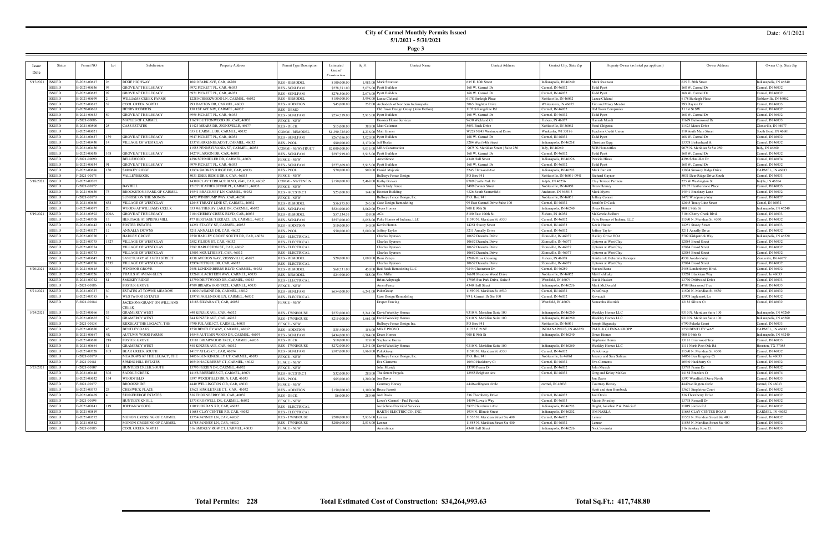**Page 3**

#### Date: 6/1/2021

| <b>Issue</b>       | <b>Status</b> | Permit NO    | Lot  | Subdivision                 | <b>Property Address</b>                   | Permit Type Description | Estimated     | Sq Ft<br><b>Contact Name</b>              | <b>Contact Address</b>              | Contact City, State Zip   | Property Owner (as listed per applicant) | Owner Address                    | Owner City, State Zip   |
|--------------------|---------------|--------------|------|-----------------------------|-------------------------------------------|-------------------------|---------------|-------------------------------------------|-------------------------------------|---------------------------|------------------------------------------|----------------------------------|-------------------------|
| 1)ate              |               |              |      |                             |                                           |                         | Cost of       |                                           |                                     |                           |                                          |                                  |                         |
|                    |               |              |      |                             |                                           |                         | Constructio   |                                           |                                     |                           |                                          |                                  |                         |
| 5/17/2021   ISSUED |               | B-2021-00617 |      | <b>DIXIE HIGHWAY</b>        | 10610 PARK AVE, CAR, 46280                | <b>RES - REMODEL</b>    | \$100,000.0   | 1.983.00 Mark Swansor                     | 635 E. 80th Street                  | Indianapolis, IN 46240    | Mark Swanson                             | 635 E. 80th Street               | Indianapolis, IN 46240  |
|                    | ISSUED        | B-2021-00636 |      | <b>GROVE AT THE LEGACY</b>  | 6972 PICKETT PL, CAR, 46033               | <b>RES - SGNLFAM</b>    | \$278,381.0   | 2,676.00 Pyatt Builders                   | 168 W. Carmel Dr                    | Carmel, IN 46032          | <b>Todd Pyatt</b>                        | 168 W. Carmel Dr                 | Carmel, IN 46032        |
|                    | <b>ISSUED</b> | B-2021-00635 |      | <b>GROVE AT THE LEGACY</b>  | 6971 PICKETT PL, CAR, 46033               | <b>RES - SGNLFAM</b>    | \$276,506.0   | 2,676,00 Pyatt Builders                   | 168 W. Carmel Dr                    | Carmel, IN 46032          | Todd Pyatt                               | 168 W. Carmel Dr                 | Carmel, IN 46032        |
|                    | <b>ISSUED</b> | B-2021-00699 |      | WILLIAMS CREEK FARMS        | 12280 CREEKWOOD LN, CARMEL, 46032         | <b>RES - REMODEL</b>    | \$150,000.00  | 3,998.00 Lance Cleland                    | 6178 Burleigh Place                 | Noblesville, IN 46062     | Lance Cleland                            | 6178 Burleigh Place              | Noblesville, IN 46062   |
|                    | <b>ISSUED</b> | B-2021-00612 |      | <b>COOL CREEK NORTH</b>     | 793 DAYTON DR, CARMEL, 46033              | <b>RES - ADDITION</b>   | \$45,000.0    | 252.00 Archadeck of Northern Indianapolis | 5065 Brighton Drive                 | Whitestown, IN 46075      | Tim and Missy Meador                     | 793 Dayton Dr                    | Carmel, IN 46033        |
|                    | <b>ISSUED</b> | B-2020-00663 |      | <b>HENRY ROBERTS</b>        | 130 1ST AVE NW, CARMEL, 46032             | RES - DEMO              |               | Old Town Design Group (John Hefton)       | 1132 S Rangeline Rd                 | Carmel, IN 46032          | Old Town Companies                       | 31 1st St SW                     | Carmel, IN 46032        |
|                    | <b>ISSUED</b> | B-2021-00633 |      | <b>GROVE AT THE LEGACY</b>  | 6995 PICKETT PL, CAR, 46033               | <b>RES - SGNLFAM</b>    | \$254,719.00  | 2,915.00 Pyatt Builders                   | 168 W. Carmel Dr                    | Carmel, IN 46032          | Todd Pyatt                               | 168 W. Carmel Dr                 | Carmel, IN 46032        |
|                    | <b>ISSUED</b> | F-2021-00086 |      | MAPLES OF CARMEL            | 11679 BUTTONWOOD DR, CAR, 46033           | <b>FENCE - NEW</b>      |               | Hoosier Home Services                     | 9630 Wickland Ct                    | Fishers, IN 46037         | Hannah Mundt                             | 11679 Buttonwood Dr              | Carmel, IN 46033        |
|                    | <b>ISSUED</b> | B-2021-00500 |      | <b>CASS ESTATES</b>         | 11423 MEARS DR, ZIONSVILLE, 46077         | <b>RES - DECK</b>       | \$15,000.0    | 380.00 Matt Coleman                       | 5653 Buck Drive                     | Noblesville, IN 36062     | Farai Chigutsa                           | 11423 Mears Drive                | Zionsville, IN 46077    |
|                    | <b>ISSUED</b> | B-2021-00621 |      |                             | 635 E CARMEL DR, CARMEL, 46032            | COMM - REMODEI          | \$1,390,725.0 | 4,236.00 Matt Emmer                       | W228 N745 Westmound Drive           | Waukesha, WI 53186        | Teachers Credit Union                    | 110 South Main Street            | South Bend, IN 46601    |
|                    | <b>ISSUED</b> | B-2021-00637 |      | <b>GROVE AT THE LEGACY</b>  | 5947 PICKETT PL, CAR, 46033               | <b>RES - SGNLFAM</b>    | \$267,056.0   | 3,020.00 Pyatt Builders                   | 168 W. Carmel Dr                    | Carmel, IN 46032          | <b>Todd Pyatt</b>                        | 168 W. Carmel Dr                 | Carmel, IN 46032        |
|                    | <b>ISSUED</b> | B-2021-00430 |      | VILLAGE OF WESTCLAY         | 13378 BIRKENHEAD ST, CARMEL, 46032        | <b>RES-POOL</b>         | \$80,000.0    | 2,170.00 Jeff Burke                       | 5204 West 84th Street               | Indianapolis, IN 46268    | Christian Rigg                           | 13378 Birkenhead St              | Carmel, IN 46032        |
|                    | <b>ISSUED</b> | B-2021-00450 |      |                             | 11585 PENNSYLVANIA ST, CARMEL, 46032      | COMM - NEWSTRUCT        | \$2,000,000.0 | 9.015.00 MBA Construction                 | 9075 N. Meridian Street   Suite 250 | Indy, IN 46260            | <b>SCB</b> Homeoffice                    | 9075 N. Meridian St Ste 250      | Indy, IN 46260          |
|                    | <b>ISSUED</b> | B-2021-00638 |      | <b>GROVE AT THE LEGACY</b>  | 14279 LARSON DR, CAR, 46033               | <b>RES - SGNLFAM</b>    | \$297,919.00  | 2,913.00 Pyatt Builders                   | 168 W. Carmel Dr                    | Carmel, IN 46032          | <b>Todd Pyatt</b>                        | 168 W. Carmel Dr                 | Carmel, IN 46032        |
|                    | <b>ISSUED</b> | F-2021-00090 |      | <b>BELLEWOOD</b>            | 4396 SCHMIDLER DR, CARMEL, 46074          | <b>FENCE - NEW</b>      |               | Amerifence                                | 4340 Hull Street                    | Indianapolis, IN 46226    | Patricia Hines                           | 4396 Schmidler Dr                | Carmel, IN 46074        |
|                    | <b>ISSUED</b> | B-2021-00634 |      | <b>GROVE AT THE LEGACY</b>  | 6979 PICKETT PL, CAR, 46033               | <b>RES - SGNLFAM</b>    | \$277,609.00  | 2,915,00 Pyatt Builders                   | 168 W. Carmel Dr                    | Carmel, IN 46032          | Todd Pyatt                               | 168 W. Carmel Dr                 | Carmel, IN 46032        |
|                    | ISSUED        | B-2021-00686 |      | <b>SMOKEY RIDGE</b>         | 13874 SMOKEY RIDGE DR, CAR, 46033         | RES - POOL              | \$70,000.00   | 900.00 Daniel Majestic                    | 5245 Elmwood Ave                    | Indianapolis, IN 46203    | Mark Bartlett                            | 13874 Smokey Ridge Drive         | <b>CARMEL, IN 46033</b> |
|                    | <b>ISSUED</b> | F-2021-00173 |      | VALLEYBROOK                 | 5031 DEER RIDGE DR S, CAR, 46033          | <b>FENCE - NEW</b>      |               | Bullseye Fence Design                     | PO Box 941                          | Noblesville, IN 46061-094 | Richard Gaynor                           | 5031 Deer Ridge Drive South      | Carmel, IN 46033        |
| 5/18/2021          | <b>ISSUED</b> | B-2021-00707 |      |                             | 14300 CLAY TERRACE BLVD, #241, CAR, 46032 | COMM - NWTENFIN         | \$150,000.0   | 2,468.00 Kathy Brewer                     | 8709 Castle Park Dr                 | Indpls, IN 46256          | Clay Terrace Partners                    | 225 W Washington St              | Indpls, IN 46204        |
|                    | <b>ISSUED</b> | F-2021-00172 |      | BAYHILL                     | 12177 HEATHERSTONE PL, CARMEL, 46033      | <b>FENCE - NEW</b>      |               | North Indy Fence                          | 3499 Conner Street                  | Noblesville, IN 46060     | <b>Brian Heaney</b>                      | 12177 Heatherstone Place         | Carmel, IN 46033        |
|                    | <b>ISSUED</b> | B-2021-00630 |      | BROOKSTONE PARK OF CARMEL   | 14541 BRACKNEY LN, CARMEL, 46032          | <b>RES - ACCSTRCT</b>   | \$25,000.0    | 144.00 Hoosier Building                   | 4326 South Scatterfield             | Anderson, IN 465013       | Mark Myers                               | 14541 Brackney Lane              | Carmel, IN 46032        |
|                    | <b>ISSUED</b> | F-2021-00170 |      | <b>SUNRISE ON THE MONON</b> | 1472 WINDPUMP WAY, CAR, 46280             | <b>FENCE - NEW</b>      |               | Bullseye Fence Design, Inc.               | P.O. Box 941                        | Noblesville, IN 46061     | Jeffrey Conner                           | 1472 Windpump Way                | Carmel, IN 46077        |
|                    | <b>ISSUED</b> | B-2021-00680 |      | VILLAGE OF WESTCLAY         | 12645 TREATY LINE ST. CARMEL. 46032       | <b>RES - REMODEI</b>    | \$56,875.0    | 245.00 Case Design Remodeling             | 99 East Carmel Drive Suite 100      | Carmel, IN 46032          | Jennifer D Cook                          | 12645 Treaty Line Stree          | Camel, IN 46032         |
|                    | <b>ISSUED</b> | B-2021-00677 |      | WOODS AT WILLIAMS CREEK     | 533 WETHERBY LAKE DR, CARMEL, 46032       | <b>RES - SGNLFAM</b>    | \$524,000.00  | 8,069.00 Drees Homes                      | 900 E 96th St                       | Indianapolis, IN 46240    | Drees Homes                              | 900 E 96th St                    | Indianapolis, IN 46240  |
| 5/19/2021          | <b>ISSUED</b> | B-2021-00592 | 200A | <b>GROVE AT THE LEGACY</b>  | 7104 CHERRY CREEK BLVD, CAR, 46033        | <b>RES - REMODEI</b>    | \$57,134.5    | 159.00 ACo                                | 8100 East 106th St.                 | Fishers, IN 46038         | McKenzie Swihart                         | 7104 Cherry Creek Blvd.          | Carmel, IN 46033        |
|                    | <b>ISSUED</b> | B-2021-00708 |      | HERITAGE AT SPRING MILL     | 477 HERITAGE TERRACE LN, CARMEL, 46032    | <b>RES - SGNLFAM</b>    | \$557,000.0   | 6,058,00 Pulte Homes of Indiana, LLC      | 11590 N. Meridian St. #530          | Carmel, IN 46032          | Pulte Homes of Indiana, LLC              | 11590 N. Meridian St. #530       | Carmel, IN 46032        |
|                    | <b>ISSUED</b> | B-2021-00442 |      | <b>FOSTER ESTATES</b>       | 14251 STACEY ST, CARMEL, 46033            | <b>RES - ADDITION</b>   | \$10,000.0    | 140.00 Kevin Hutton                       | 14251 Stacey Street                 | Carmel, IN 46033          | Kevin Hutton                             | 14251 Stacey Street              | Carmel, IN 46033        |
|                    | <b>ISSUED</b> | B-2021-00327 |      | ANNALLY DOWNS               | 3211 ANNALLY DR, CAR, 46032               | RES - POOL              | \$50,000.0    | 2,000,00 Jeffrey Taylor                   | 3211 Annally Drive                  | Carmel, IN 46032          | Jeffrey Taylor                           | 3211 Annally Drive               | Carmel, IN 46032        |
|                    | <b>ISSUED</b> | B-2021-00770 |      | <b>HADLEY GROVE</b>         | 2550 HADLEY GROVE SOUTH DR, CAR, 46074    | <b>RES - ELECTRICAL</b> |               | Charles Ryerson                           | 10652 Deandra Drive                 | Zionsville, IN 46077      | Hadley Grove HOA                         | 5702 Kirkpatrick Way             | Indianapolis, IN 46220  |
|                    | <b>ISSUED</b> | B-2021-00775 | 327  | <b>VILLAGE OF WESTCLAY</b>  | 2582 FILSON ST, CAR, 46032                | <b>RES - ELECTRICAL</b> |               | Charles Ryerson                           | 10652 Deandra Drive                 | Zionsville, IN 46077      | Uptown at West Clay                      | 12884 Broad Street               | Carmel, IN 46032        |
|                    | <b>ISSUED</b> | B-2021-00774 |      | VILLAGE OF WESTCLAY         | 2582 HARLESTON ST, CAR, 46032             | <b>RES - ELECTRICAL</b> |               | Charles Ryerson                           | 10652 Deandra Drive                 | Zionsville, IN 46077      | Uptown at West Clay                      | 12884 Broad Street               | Carmel, IN 46032        |
|                    | <b>ISSUED</b> | B-2021-00773 |      | VILLAGE OF WESTCLAY         | 13003 MOULTRIE ST, CAR, 46032             | <b>RES - ELECTRICAI</b> |               | Charles Ryerson                           | 10652 Deandra Drive                 | Zionsville, IN 46077      | Uptown at West Clay                      | 12884 Broad Street               | Carmel, IN 46032        |
|                    | <b>ISSUED</b> | B-2021-00647 |      | SANCTUARY AT 116TH STREET   | 4538 AVEDON WAY, ZIONSVILLE, 46077        | <b>RES - REMODEL</b>    | \$20,000.0    | 1,000,00 Roni Zelaya                      | 12889 Ross Crossing                 | Fishers, IN 46038         | Anirban & Debamita Banerjee              | 4538 Avedon Way                  | Zionsville, IN 46077    |
|                    | ISSUED        | B-2021-00776 |      | <b>VILLAGE OF WESTCLAY</b>  | 12974 PETIGRU DR, CAR, 46032              | <b>RES - ELECTRICAL</b> |               | Charles Ryerson                           | 10652 Deandra Drive                 | Zionsville, IN 46077      | Uptown at West Clay                      | 12884 Broad Street               | Carmel, IN 46032        |
| 5/20/2021   ISSUED |               | B-2021-00615 |      | <b>WINDSOR GROVI</b>        | 2458 LONDONBERRY BLVD, CARMEL, 46032      | <b>RES - REMODEI</b>    | \$68,731.0    | 450.00 Red Rock Remodeling LLC            | 9844 Chesterton Dr                  | Carmel, IN 46280          | Naveed Rana                              | 2458 Londonberry Blvd            | Carmel, IN 46032        |
|                    | ISSUED        | B-2021-00726 |      | TRAILS AT AVIAN GLEN        | 13268 BLACKTERN WAY, CARMEL, 46033        | <b>RES - REMODEL</b>    | \$24,900.0    | 985.00 Eric Miller                        | 16691 Meadow Wood Drive             | Noblesville, IN 46062     | Matt Feldhake                            | 13268 Blacktern Way              | Carmel, In 46033        |
|                    | ISSUED        | B-2021-00782 |      | <b>SMOKEY RIDGE</b>         | 13790 DRIFTWOOD DR, CARMEL, 46033         | <b>RES - ELECTRICAL</b> |               | Brian Ashpaugh                            | 17903 Sun Park Drive, Suite 5       | Westfield, IN 46074       | David Haskett                            | 3790 Driftwood Drive             | Carmel, IN 46033        |
|                    | ISSUED        | F-2021-00186 |      | <b>FOSTER GROVE</b>         | 4709 BRIARWOOD TRCE, CARMEL, 46033        | <b>FENCE - NEW</b>      |               | AmeriFence                                | 4340 Hull Street                    | Indianapolis, IN 46226    | Mark McDonald                            | 4709 Briarwood Trce              | Carmel, IN 46033        |
| 5/21/2021          | <b>ISSUED</b> | B-2021-00727 |      | ESTATES AT TOWNE MEADOW     | 11000 JASMINE DR, CARMEL, 46032           | <b>RES - SGNLFAM</b>    | \$654,000.0   | 6,241.00 PulteGroup                       | 11590 N. Meridian St. #530          | Carmel, IN 46032          | PulteGroup                               | 11590 N. Meridian St. #530       | Carmel, IN 46032        |
|                    | ISSUED        | B-2021-00785 |      | WESTWOOD ESTATES            | 13978 INGLENOOK LN, CARMEL, 46032         | <b>RES - ELECTRICAL</b> |               | Case Design/Remodeling                    | 99 E Carmel Dr Ste 100              | Carmel, IN 46032          | Kovacich                                 | 13978 Inglenook Ln               | Carmel, IN 46032        |
|                    | <b>ISSUED</b> | F-2021-00184 |      | JACKSONS GRANT ON WILLIAMS  | 12183 SILVARA CT, CAR, 46032              | <b>FENCE - NEW</b>      |               | Draper Fencing                            |                                     | Westfield, IN 46074       | Samantha Westrick                        | 12183 Silvara Ct                 | Carmel, IN 46032        |
|                    |               |              |      | <b>CREEK</b>                |                                           |                         |               |                                           |                                     |                           |                                          |                                  |                         |
| 5/24/2021 ISSUED   |               | B-2021-00666 |      | <b>GRAMERCY WEST</b>        | 840 KINZER AVE, CAR, 46032                | <b>RES-TWNHOUSE</b>     | \$272,000.00  | 2,241.00 David Weekley Homes              | 9310 N. Meridian Suite 100          | Indianapolis, IN 46260    | Weekley Homes LLC                        | 9310 N. Meridian Suite 100       | Indianapolis, IN 46260  |
|                    | <b>ISSUED</b> | B-2021-00665 |      | <b>GRAMERCY WEST</b>        | 844 KINZER AVE, CAR, 46032                | <b>RES - TWNHOUSE</b>   | \$215,000.0   | 1,661.00 David Weekley Homes              | 9310 N. Meridian Suite 100          | Indianapolis, IN 46260    | Weekley Homes LLC                        | 9310 N. Meridian Suite 100       | Indianapolis, IN 46260  |
|                    | <b>ISSUED</b> | F-2021-00138 |      | RIDGE AT THE LEGACY, THE    | 6790 PULASKI CT, CARMEL, 46033            | <b>FENCE - NEW</b>      |               | Bullseye Fence Design Inc.                | <b>PO Box 941</b>                   | Noblesville, IN 46061     | Joseph Begansky                          | 6790 Pulaski Court               | Carmel, IN 46033        |
|                    | <b>ISSUED</b> | B-2021-00670 |      | <b>BENTLEY OAKS</b>         | 1250 BENTLEY WAY, CARMEL, 46032           | <b>RES - ADDITION</b>   | \$35,400.00   | 156.00 MIKE PROVO                         | 11723 E 21ST                        | INDIANAPOLIS, IN 466229   | <b>PAUL &amp; GLENNA KROPP</b>           | 1250 BENTLEY WAY                 | CARMEL, IN 46032        |
|                    | <b>ISSUED</b> | B-2021-00667 |      | AUTUMN WOOD FARMS           | 14544 AUTUMN WOOD DR, CARMEL, 46074       | <b>RES - SGNLFAM</b>    | \$434,000.00  | $6,764.00$ Drees Homes                    | 900 E 96th St                       | Indianapolis, IN 46240    | Drees Homes                              | 900 E 96th St                    | Indianapolis, IN 46240  |
|                    | <b>ISSUED</b> | B-2021-00610 |      | <b>FOSTER GROVE</b>         | 13181 BRIARWOOD TRCE, CARMEL, 46033       | <b>RES - DECK</b>       | \$10,000.0    | 128.00 Stephanie Horna                    |                                     |                           | Stephanie Horna                          | 13181 Briarwood Trce             | Carmel, IN 46033        |
|                    | <b>ISSUED</b> | B-2021-00664 |      | GRAMERCY WEST               | 848 KINZER AVE, CAR, 46032                | <b>RES - TWNHOUSE</b>   | \$272,000.0   | 2,241.00 David Weekley Homes              | 9310 N. Meridian Suite 100          | Indianapolis, IN 46260    | <b>Weekley Homes LLC</b>                 | 1111 North Post Oak Rd           | Houston, TX 77055       |
|                    | <b>ISSUED</b> | B-2021-00728 |      | <b>BEAR CREEK SOUTH</b>     | 14177 ATLAS CT, CAR, 46074                | <b>RES - SGNLFAM</b>    | \$507,000.00  | 5,860.00 PulteGroup                       | 11590 N. Meridian St. #530          | Carmel, IN 46032          | PulteGroup                               | 1590 N. Meridian St. #530        | Carmel, IN 46032        |
|                    | <b>ISSUED</b> | F-2021-00179 |      | MEADOWS AT THE LEGACY, THE  | 14056 BEN KINGSLEY CT, CARMEL, 46033      | <b>FENCE - NEW</b>      |               | Bullseye Fence Design, Inc.               | P.O. Box 941                        | Noblesville, In 46061     | Jeremy and Sara Salina                   | 4056 Ben Kingsley Ct             | Carmel, In 46033        |
|                    | <b>ISSUED</b> | F-2021-00181 |      | <b>SPRING HILL ESTATES</b>  | 10540 HACKBERRY CT, CARMEL, 46032         | <b>FENCE - NEW</b>      |               | Eva Clements                              | 10540 Hackberry Ct                  | Carmel, IN 46032          | Eva Clements                             | 10540 Hackberry Ct               | Carmel, IN 46032        |
| 5/25/2021 ISSUED   |               | F-2021-00107 |      | HUNTERS CREEK SOUTH         | 13793 PERRIN DR, CARMEL, 46032            | FENCE - NEW             |               | John Musick                               | 13793 Perrin Dr                     | Carmel, IN 46032          | John Musick                              | 13793 Perrin Dr                  | Carmel, IN 46032        |
|                    | <b>ISSUED</b> | B-2021-00448 |      | <b>SADDLE CREEK</b>         | 14158 BREEDERS CT, CARMEL, 46074          | <b>RES - ACCSTRCT</b>   | \$32,000.00   | 280.00 The Smart Pergola                  | 12958 Brighton Ave                  | Carmel, IN 46032          | Greg and Kristy McKee                    | 14158 Breeders Ct                | Carmel, IN 46074        |
|                    | <b>ISSUED</b> | B-2021-00632 |      | WOODFIELD                   | 5397 WOODFIELD DR N, CAR, 46033           | RES - POOL              | \$65,000.00   | $1.200.00$ Jon Davis                      |                                     |                           | Jon Davis                                | 5397 Woodfield Drive North       | Carmel, IN 46033        |
|                    | <b>ISSUED</b> | F-2021-00177 |      | <b>BROOKSHIRE</b>           | 4440 WELLINGTON CIR, CAR, 46033           | <b>FENCE - NEW</b>      |               | Courtney Horsey                           | 4440wellington circle               | carmel, IN 46033          | Courtney Horsey                          | 4440wellington circle            | carmel, IN 46033        |
|                    | <b>ISSUED</b> | B-2021-00373 |      | CHESWICK PLACE              | 13621 SINGLETREE CT, CAR, 46032           | <b>RES - ADDITION</b>   | \$150,000,00  | 1,100.00 Bruce Parrott                    |                                     |                           | Scott and Ann Hornback                   | 13621 Singletree Court           | Carmel, IN 46032        |
|                    | <b>ISSUED</b> | B-2021-00469 |      | <b>STONEHEDGE ESTATES</b>   | 336 THORNBERRY DR, CAR, 46032             | RES - DECK              | \$6,000.0     | 289.80 Joel Davis                         | 336 Thornberry Drive                | Carmel, IN 46032          | Joel Davis                               | 336 Thornberry Drive             | Carmel, IN 46032        |
|                    | <b>ISSUED</b> | F-2021-00195 |      | HUNTER'S KNOLL              | 13738 ROSWELL DR, CARMEL, 46032           | <b>FENCE - NEW</b>      |               | Lowe's Carmel - Paul Patrick              | 14598 Lowe's Way                    | Carmel, IN 46033          | Mairin Priestley                         | 13738 Roswell Dr                 | Carmel, IN 46032        |
|                    | <b>ISSUED</b> | B-2021-00841 |      | JORDAN WOODS                | 11019 JORDAN RD, CAR, 46032               | <b>RES - ELECTRICAL</b> |               | Joe Schmo Electrical Services             | 5827 Churchman Ave                  | Indianapolis, IN 46203    | Bright, Jonathan P & Patricia P          | 11019 Jordan Rd                  | Carmel, IN 46032        |
|                    | <b>ISSUED</b> | B-2021-00819 |      |                             | 11685 CLAY CENTER RD, CAR, 46032          | <b>RES - ELECTRICAL</b> |               | <b>BARTH ELECTRIC CO., INC</b>            | 1934 N. Illinois Street             | Indianapolis, IN 46202    | <b>OM NARLA</b>                          | 11685 CLAY CENTER ROAD           | CARMEL, IN 46032        |
|                    | <b>ISSUED</b> | B-2021-00572 |      | MONON CROSSING OF CARMEL    | 13754 JANNEY LN, CAR, 46032               | <b>RES - TWNHOUSE</b>   | \$200,000.0   | 2,836.00 Lennar                           | 11555 N. Meridian Street Ste 400    | Carmel, IN 46032          | Lennar                                   | 11555 N. Meridian Street Ste 400 | Carmel, IN 46032        |
|                    | <b>ISSUED</b> | B-2021-00582 |      | MONON CROSSING OF CARMEL    | 13785 JANNEY LN, CAR, 46032               | <b>RES - TWNHOUSE</b>   | \$200,000.00  | $2,836.00$ Lennar                         | 11555 N. Meridian Street Ste 400    | Carmel, IN 46032          | Lennar                                   | 11555 N. Meridian Street Ste 400 | Carmel, IN 46032        |
|                    | <b>ISSUED</b> | F-2021-00185 |      | COOL CREEK NORTH            | 516 SMOKEY ROW CT, CARMEL, 46033          | <b>FENCE - NEW</b>      |               | Amerifence                                | 4340 Hull Street                    | Indianapolis, IN 46226    | Nick Sovinski                            | 516 Smokey Row Ct.               | Carmel, IN 46033        |